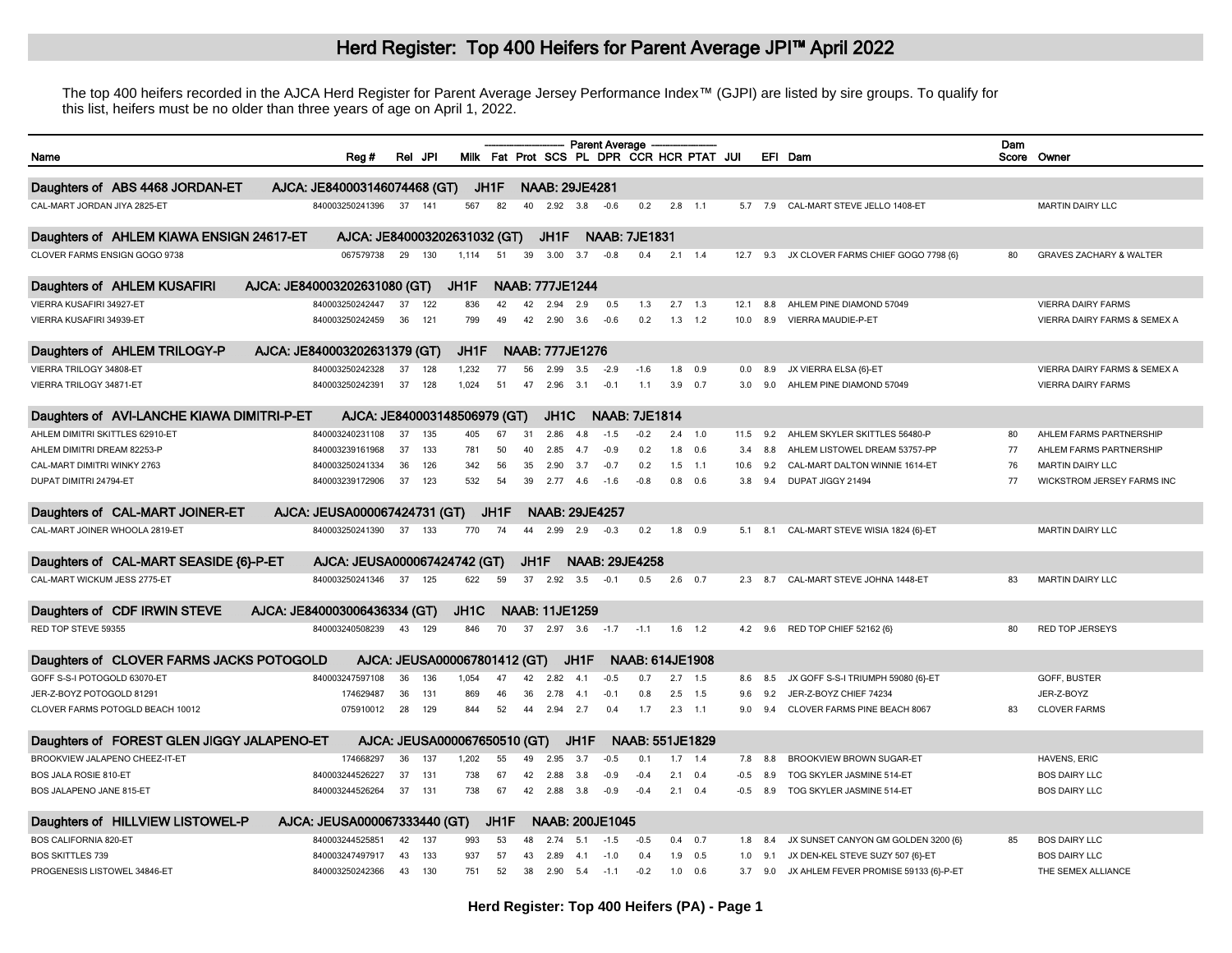## Herd Register: Top 400 Heifers for Parent Average JPI™ April 2022

The top 400 heifers recorded in the AJCA Herd Register for Parent Average Jersey Performance Index™ (GJPI) are listed by sire groups. To qualify for this list, heifers must be no older than three years of age on April 1, 2022.

| Name                                                      |                              | Rea#                         | Rel | JPI |                              |                   |          |                        |                   | Parent Average         | Milk Fat Prot SCS PL DPR CCR HCR PTAT JUI |                 |             |            |                | EFI Dam                                                      | Dam | Score Owner                             |
|-----------------------------------------------------------|------------------------------|------------------------------|-----|-----|------------------------------|-------------------|----------|------------------------|-------------------|------------------------|-------------------------------------------|-----------------|-------------|------------|----------------|--------------------------------------------------------------|-----|-----------------------------------------|
| Daughters of ABS 4468 JORDAN-ET                           |                              | AJCA: JE840003146074468 (GT) |     |     |                              | JH1F              |          | <b>NAAB: 29JE4281</b>  |                   |                        |                                           |                 |             |            |                |                                                              |     |                                         |
| CAL-MART JORDAN JIYA 2825-ET                              |                              | 840003250241396              | 37  | 141 | 567                          | 82                | 40       | 2.92                   | 3.8               | $-0.6$                 | 0.2                                       | $2.8$ 1.1       |             |            | 5.7 7.9        | CAL-MART STEVE JELLO 1408-ET                                 |     | <b>MARTIN DAIRY LLC</b>                 |
| Daughters of AHLEM KIAWA ENSIGN 24617-ET                  |                              | AJCA: JE840003202631032 (GT) |     |     |                              |                   |          | JH1F                   |                   |                        | <b>NAAB: 7JE1831</b>                      |                 |             |            |                |                                                              |     |                                         |
| CLOVER FARMS ENSIGN GOGO 9738                             |                              | 067579738                    | 29  | 130 | 1.114                        | 51                | 39       | 3.00                   | 3.7               | $-0.8$                 | 0.4                                       |                 | $2.1$ 1.4   | 12.7       | 9.3            | JX CLOVER FARMS CHIEF GOGO 7798 {6}                          | 80  | <b>GRAVES ZACHARY &amp; WALTER</b>      |
|                                                           |                              |                              |     |     |                              |                   |          |                        |                   |                        |                                           |                 |             |            |                |                                                              |     |                                         |
| Daughters of AHLEM KUSAFIRI                               | AJCA: JE840003202631080 (GT) |                              |     |     | JH1F                         |                   |          | <b>NAAB: 777JE1244</b> |                   |                        |                                           |                 |             |            |                |                                                              |     |                                         |
| VIERRA KUSAFIRI 34927-ET                                  |                              | 840003250242447              | 37  | 122 | 836                          | 42                | 42       | 2.94                   | 2.9               | 0.5                    | 1.3                                       | 2.7             | 1.3         | 12.1       | 8.8            | AHLEM PINE DIAMOND 57049                                     |     | <b>VIERRA DAIRY FARMS</b>               |
| VIERRA KUSAFIRI 34939-ET                                  |                              | 840003250242459              | 36  | 121 | 799                          | 4 <sup>c</sup>    | 42       | 2.90                   | 3.6               | $-0.6$                 | 0.2                                       |                 | $1.3$ $1.2$ | 10.0       | 8.9            | VIERRA MAUDIE-P-ET                                           |     | VIERRA DAIRY FARMS & SEMEX A            |
| Daughters of AHLEM TRILOGY-P                              | AJCA: JE840003202631379 (GT) |                              |     |     | JH1F                         |                   |          | <b>NAAB: 777JE1276</b> |                   |                        |                                           |                 |             |            |                |                                                              |     |                                         |
| VIERRA TRILOGY 34808-ET                                   |                              | 840003250242328              | 37  | 128 | 1,232                        | 77                | 56       | 2.99                   | 3.5               | $-2.9$                 | $-1.6$                                    |                 | $1.8$ 0.9   | 0.0        | 8.9            | JX VIERRA ELSA {6}-ET                                        |     | <b>VIERRA DAIRY FARMS &amp; SEMEX A</b> |
| VIERRA TRILOGY 34871-ET                                   |                              | 840003250242391              | 37  | 128 | 1.024                        | 51                | 47       | 2.96                   | 3.1               | $-0.1$                 | 1.1                                       | 3.9             | 0.7         | 3.0        | 9.0            | AHLEM PINE DIAMOND 57049                                     |     | <b>VIERRA DAIRY FARMS</b>               |
| Daughters of AVI-LANCHE KIAWA DIMITRI-P-ET                |                              | AJCA: JE840003148506979 (GT) |     |     |                              |                   |          | JH <sub>1</sub> C      |                   |                        | <b>NAAB: 7JE1814</b>                      |                 |             |            |                |                                                              |     |                                         |
| AHLEM DIMITRI SKITTLES 62910-ET                           |                              | 840003240231108              | 37  | 135 | 405                          | 67                | 31       | 2.86                   | 4.8               | $-1.5$                 | $-0.2$                                    | 2.4             | 1.0         | 11.5       | 9.2            | AHLEM SKYLER SKITTLES 56480-P                                | 80  | AHLEM FARMS PARTNERSHIP                 |
| AHLEM DIMITRI DREAM 82253-P                               |                              | 840003239161968              | 37  | 133 | 781                          | 50                | 40       | 2.85                   | 47                | $-0.9$                 | 0.2                                       | 1.8             | 0.6         | 3.4        | 8.8            | AHLEM LISTOWEL DREAM 53757-PP                                | 77  | AHLEM FARMS PARTNERSHIP                 |
| CAL-MART DIMITRI WINKY 2763                               |                              | 840003250241334              | 36  | 126 | 342                          | 56                | 35       | 2.90                   | 3.7               | $-0.7$                 | 0.2                                       | 1.5             | 1.1         | 10.6       | 92             | CAL-MART DALTON WINNIE 1614-ET                               | 76  | <b>MARTIN DAIRY LLC</b>                 |
| DUPAT DIMITRI 24794-ET                                    |                              | 840003239172906              | 37  | 123 | 532                          | 54                | 39       | 2.77                   | 46                | $-16$                  | $-0.8$                                    | 0.8             | 0.6         | 3.8        | 94             | DUPAT JIGGY 21494                                            | 77  | WICKSTROM JERSEY FARMS INC              |
| Daughters of CAL-MART JOINER-ET                           |                              | AJCA: JEUSA000067424731 (GT) |     |     |                              | JH1F              |          | <b>NAAB: 29JE4257</b>  |                   |                        |                                           |                 |             |            |                |                                                              |     |                                         |
| CAL-MART JOINER WHOOLA 2819-ET                            |                              | 840003250241390              | 37  | 133 | 770                          | 74                | 44       | 2.99                   | 2.9               | $-0.3$                 | 0.2                                       | 1.8             | 0.9         | 5.1        | 8.1            | CAL-MART STEVE WISIA 1824 {6}-ET                             |     | <b>MARTIN DAIRY LLC</b>                 |
| Daughters of CAL-MART SEASIDE {6}-P-ET                    |                              | AJCA: JEUSA000067424742 (GT) |     |     |                              |                   | JH1F     |                        |                   |                        | <b>NAAB: 29JE4258</b>                     |                 |             |            |                |                                                              |     |                                         |
| CAL-MART WICKUM JESS 2775-ET                              |                              | 840003250241346              | 37  | 125 | 622                          | 59                | 37       | 2.92                   | 3.5               | $-0.1$                 | 0.5                                       |                 | $2.6$ 0.7   |            | $2.3$ 8.7      | CAL-MART STEVE JOHNA 1448-ET                                 | 83  | <b>MARTIN DAIRY LLC</b>                 |
| Daughters of CDF IRWIN STEVE                              | AJCA: JE840003006436334 (GT) |                              |     |     | JH <sub>1</sub> C            |                   |          | <b>NAAB: 11JE1259</b>  |                   |                        |                                           |                 |             |            |                |                                                              |     |                                         |
| RED TOP STEVE 59355                                       |                              | 840003240508239              | 43  | 129 | 846                          | 70                |          | 37 2.97 3.6            |                   | $-1.7$                 | $-1.1$                                    |                 | $1.6$ 1.2   |            | $4.2\quad 9.6$ | RED TOP CHIEF 52162 {6}                                      | 80  | <b>RED TOP JERSEYS</b>                  |
| Daughters of CLOVER FARMS JACKS POTOGOLD                  |                              |                              |     |     | AJCA: JEUSA000067801412 (GT) |                   |          |                        | JH1F              |                        | <b>NAAB: 614JE1908</b>                    |                 |             |            |                |                                                              |     |                                         |
|                                                           |                              |                              | 36  | 136 |                              | 47                |          |                        |                   |                        | 0 7                                       |                 |             |            |                |                                                              |     |                                         |
| GOFF S-S-I POTOGOLD 63070-ET<br>JER-Z-BOYZ POTOGOLD 81291 |                              | 840003247597108<br>174629487 | 36  | 131 | 1.054<br>869                 |                   | 42<br>36 | 2.82                   | -4.1              | $-0.5$<br>$-0.1$       | 0.8                                       | 2.7<br>2.5      | 1.5         | 8.6        | 8.5<br>92      | JX GOFF S-S-I TRIUMPH 59080 {6}-ET<br>JER-Z-BOYZ CHIEF 74234 |     | GOFF, BUSTER<br>JER-Z-BOYZ              |
| CLOVER FARMS POTOGLD BEACH 10012                          |                              |                              | 28  | 129 | 844                          | 46<br>52          | 44       | 2.78<br>2.94           | 41<br>2.7         | 0.4                    | 1.7                                       | $2.3$ 1.1       | 1.5         | 9.6<br>9.0 | 9.4            | CLOVER FARMS PINE BEACH 8067                                 | 83  | <b>CLOVER FARMS</b>                     |
|                                                           |                              | 075910012                    |     |     |                              |                   |          |                        |                   |                        |                                           |                 |             |            |                |                                                              |     |                                         |
| Daughters of FOREST GLEN JIGGY JALAPENO-ET                |                              |                              |     |     | AJCA: JEUSA000067650510 (GT) |                   |          |                        | JH <sub>1</sub> F |                        | <b>NAAB: 551JE1829</b>                    |                 |             |            |                |                                                              |     |                                         |
| BROOKVIEW JALAPENO CHEEZ-IT-ET                            |                              | 174668297                    | 36  | 137 | 1.202                        | 55                | 49       | 2.95                   | 3.7               | $-0.5$                 | $\Omega$ .                                |                 | $1.7$ 1.4   | 7.8        | 8.8            | <b>BROOKVIEW BROWN SUGAR-ET</b>                              |     | HAVENS, ERIC                            |
| <b>BOS JALA ROSIE 810-ET</b>                              |                              | 840003244526227              | 37  | 131 | 738                          | 67                | 42       | 2.88                   | 3.8               | $-0.9$                 | $-0.4$                                    | 2.1             | 0.4         | $-0.5$     | 8.9            | TOG SKYLER JASMINE 514-ET                                    |     | <b>BOS DAIRY LLC</b>                    |
| BOS JALAPENO JANE 815-ET                                  |                              | 840003244526264              | 37  | 131 | 738                          | 67                | 42       | 2.88                   | 3.8               | $-0.9$                 | $-0.4$                                    | $2.1 \quad 0.4$ |             | $-0.5$     | 8.9            | TOG SKYLER JASMINE 514-ET                                    |     | <b>BOS DAIRY LLC</b>                    |
| Daughters of HILLVIEW LISTOWEL-P                          |                              | AJCA: JEUSA000067333440 (GT) |     |     |                              | JH <sub>1</sub> F |          |                        |                   | <b>NAAB: 200JE1045</b> |                                           |                 |             |            |                |                                                              |     |                                         |
| <b>BOS CALIFORNIA 820-ET</b>                              |                              | 840003244525851              | 42  | 137 | 993                          | 53                |          | 274                    | -5.1              | $-1.5$                 | $-0.5$                                    |                 | $0.4$ 0.7   | 1.8        | 8.4            | JX SUNSET CANYON GM GOLDEN 3200 {6}                          | 85  | <b>BOS DAIRY LLC</b>                    |
| <b>BOS SKITTLES 739</b>                                   |                              | 840003247497917              | 43  | 133 | 937                          | 57                | 43       | 2.89                   | -4.1              | $-10$                  | 04                                        | 1.9             | 0.5         | 1.0        | 9.1            | JX DEN-KEL STEVE SUZY 507 {6}-ET                             |     | <b>BOS DAIRY LLC</b>                    |
| PROGENESIS LISTOWEL 34846-ET                              |                              | 840003250242366              | 43  | 130 | 751                          | 52                | 38       | 2.90                   | 5.4               | $-1.1$                 | $-0.2$                                    | 1.0             | 0.6         | 3.7        | 9.0            | JX AHLEM FEVER PROMISE 59133 {6}-P-ET                        |     | THE SEMEX ALLIANCE                      |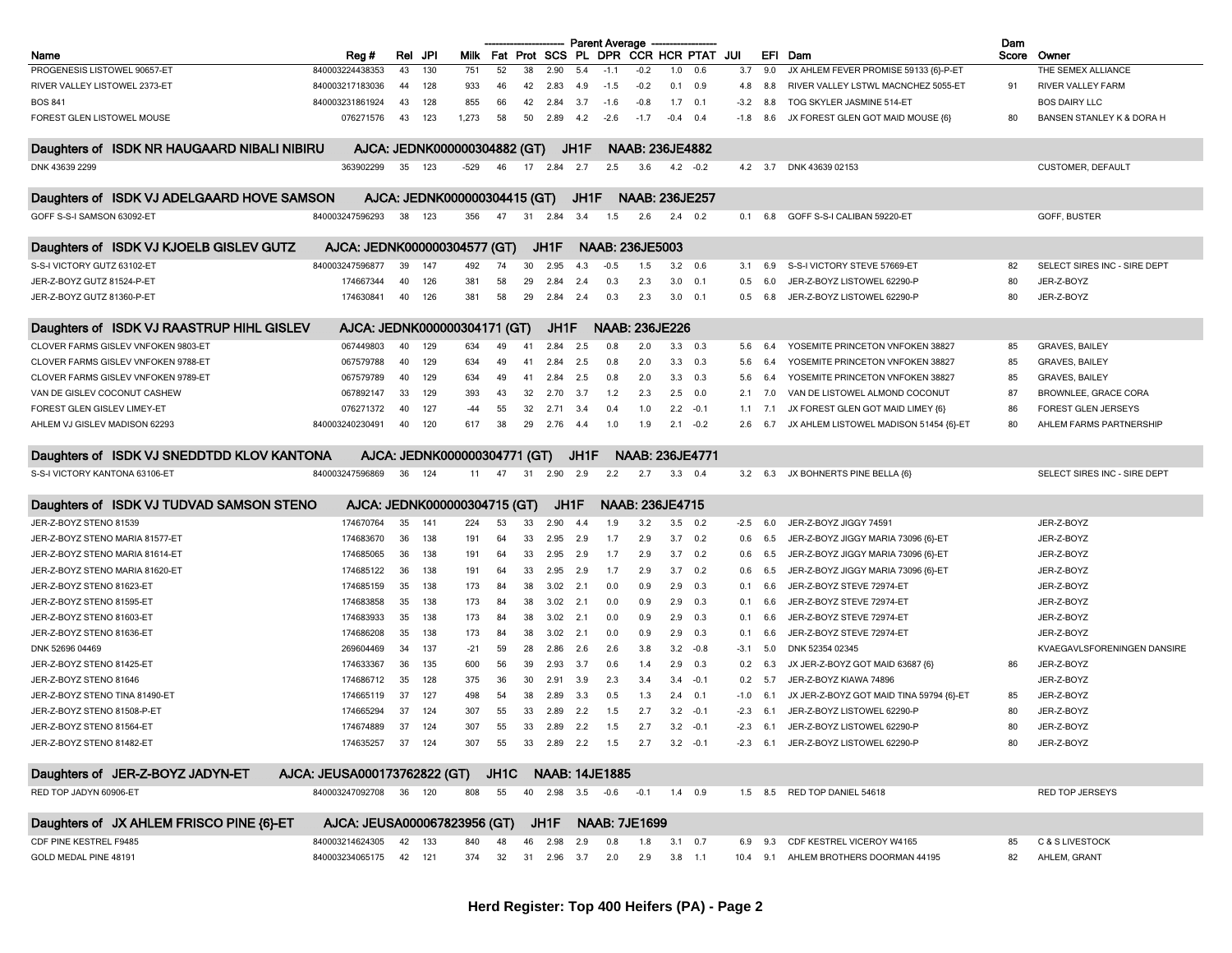|                                             |                              |        |                              |                   |    |                     |      | <b>Parent Average</b> |                        |           |                |        |                |                                          | Dam   |                              |
|---------------------------------------------|------------------------------|--------|------------------------------|-------------------|----|---------------------|------|-----------------------|------------------------|-----------|----------------|--------|----------------|------------------------------------------|-------|------------------------------|
| Name                                        | Reg#                         | Rel    | JPI<br>Milk                  | Fat               |    | Prot SCS            |      | PL DPR                | <b>CCR HCR PTAT</b>    |           |                | JUI    | EFI            | Dam                                      | Score | Owner                        |
| PROGENESIS LISTOWEL 90657-ET                | 840003224438353              | 43     | 130<br>751                   | 52                | 38 | 2.90                | 5.4  | $-1.1$                | $-0.2$                 | 1.0       | 0.6            | 3.7    | 9.0            | JX AHLEM FEVER PROMISE 59133 {6}-P-ET    |       | THE SEMEX ALLIANCE           |
| RIVER VALLEY LISTOWEL 2373-ET               | 840003217183036              | 44     | 933<br>128                   | 46                | 42 | 2.83                | 4.9  | $-1.5$                | $-0.2$                 |           | 0.1 0.9        | 4.8    | 8.8            | RIVER VALLEY LSTWL MACNCHEZ 5055-ET      | 91    | RIVER VALLEY FARM            |
| <b>BOS 841</b>                              | 840003231861924              | 43     | 128<br>855                   | 66                | 42 | 2.84                | 3.7  | $-1.6$                | $-0.8$                 |           | $1.7$ 0.1      | $-3.2$ | 8.8            | TOG SKYLER JASMINE 514-ET                |       | <b>BOS DAIRY LLC</b>         |
| FOREST GLEN LISTOWEL MOUSE                  | 076271576                    | 43     | 123<br>1,273                 | 58                | 50 | 2.89                | 4.2  | $-2.6$                | $-1.7$                 | $-0.4$    | 0.4            | $-1.8$ | 8.6            | JX FOREST GLEN GOT MAID MOUSE {6}        | 80    | BANSEN STANLEY K & DORA H    |
| Daughters of ISDK NR HAUGAARD NIBALI NIBIRU |                              |        | AJCA: JEDNK000000304882 (GT) |                   |    |                     | JH1F |                       | <b>NAAB: 236JE4882</b> |           |                |        |                |                                          |       |                              |
| DNK 43639 2299                              | 363902299                    | 35     | 123<br>$-529$                | 46                | 17 | 2.84                | 2.7  | 2.5                   | 3.6                    |           | $4.2 -0.2$     |        | $4.2\quad 3.7$ | DNK 43639 02153                          |       | <b>CUSTOMER, DEFAULT</b>     |
| Daughters of ISDK VJ ADELGAARD HOVE SAMSON  |                              |        | AJCA: JEDNK000000304415 (GT) |                   |    |                     | JH1F |                       | <b>NAAB: 236JE257</b>  |           |                |        |                |                                          |       |                              |
| GOFF S-S-I SAMSON 63092-ET                  | 840003247596293              | 38     | 123<br>356                   | 47                | 31 | 2.84                | 3.4  | 1.5                   | 2.6                    |           | $2.4$ 0.2      | 0.1    | 6.8            | GOFF S-S-I CALIBAN 59220-ET              |       | GOFF, BUSTER                 |
| Daughters of ISDK VJ KJOELB GISLEV GUTZ     | AJCA: JEDNK000000304577 (GT) |        |                              |                   |    | JH1F                |      |                       | <b>NAAB: 236JE5003</b> |           |                |        |                |                                          |       |                              |
| S-S-I VICTORY GUTZ 63102-ET                 | 840003247596877              | 39     | 147<br>492                   | 74                | 30 | 2.95                | 4.3  | $-0.5$                | 1.5                    |           | $3.2\quad 0.6$ | 3.1    | 6.9            | S-S-I VICTORY STEVE 57669-ET             | 82    | SELECT SIRES INC - SIRE DEPT |
| JER-Z-BOYZ GUTZ 81524-P-ET                  | 174667344                    | 40     | 126<br>381                   | 58                | 29 | 2.84                | 2.4  | 0.3                   | 2.3                    | 3.0       | 0.1            | 0.5    | 6.0            | JER-Z-BOYZ LISTOWEL 62290-P              | 80    | JER-Z-BOYZ                   |
| JER-Z-BOYZ GUTZ 81360-P-ET                  | 174630841                    | 40     | 126<br>381                   | 58                | 29 | 2.84                | 2.4  | 0.3                   | 2.3                    | 3.0       | 0.1            | 0.5    | 6.8            | JER-Z-BOYZ LISTOWEL 62290-P              | 80    | JER-Z-BOYZ                   |
| Daughters of ISDK VJ RAASTRUP HIHL GISLEV   |                              |        | AJCA: JEDNK000000304171 (GT) |                   |    | JH1F                |      |                       | <b>NAAB: 236JE226</b>  |           |                |        |                |                                          |       |                              |
| CLOVER FARMS GISLEV VNFOKEN 9803-ET         | 067449803                    | 40     | 129<br>634                   | 49                | 41 | 2.84                | 2.5  | 0.8                   | 2.0                    |           | $3.3$ 0.3      | 5.6    | 6.4            | YOSEMITE PRINCETON VNFOKEN 38827         | 85    | <b>GRAVES, BAILEY</b>        |
| CLOVER FARMS GISLEV VNFOKEN 9788-ET         | 067579788                    | 40     | 129<br>634                   | 49                | 41 | 2.84                | 2.5  | 0.8                   | 2.0                    | 3.3       | 0.3            | 5.6    | 6.4            | YOSEMITE PRINCETON VNFOKEN 38827         | 85    | <b>GRAVES, BAILEY</b>        |
| CLOVER FARMS GISLEV VNFOKEN 9789-ET         | 067579789                    | 40     | 129<br>634                   | 49                | 41 | 2.84                | 2.5  | 0.8                   | 2.0                    | 3.3       | 0.3            | 5.6    | 6.4            | YOSEMITE PRINCETON VNFOKEN 38827         | 85    | GRAVES, BAILEY               |
| VAN DE GISLEV COCONUT CASHEW                | 067892147                    | 33     | 129<br>393                   | 43                | 32 | 2.70                | 3.7  | 1.2                   | 2.3                    |           | $2.5\quad 0.0$ | 2.1    | 7.0            | VAN DE LISTOWEL ALMOND COCONUT           | 87    | <b>BROWNLEE, GRACE CORA</b>  |
| FOREST GLEN GISLEV LIMEY-ET                 | 076271372                    | 40     | 127<br>-44                   | 55                | 32 | 2.71                | 3.4  | 0.4                   | 1.0                    | 2.2       | $-0.1$         | 1.1    | 7.1            | JX FOREST GLEN GOT MAID LIMEY {6}        | 86    | <b>FOREST GLEN JERSEYS</b>   |
| AHLEM VJ GISLEV MADISON 62293               | 840003240230491              | 40     | 120<br>617                   | 38                | 29 | 2.76                | -4.4 | 1.0                   | 1.9                    | 2.1       | $-0.2$         | 2.6    | 6.7            | JX AHLEM LISTOWEL MADISON 51454 {6}-ET   | 80    | AHLEM FARMS PARTNERSHIP      |
|                                             |                              |        |                              |                   |    |                     |      |                       |                        |           |                |        |                |                                          |       |                              |
| Daughters of ISDK VJ SNEDDTDD KLOV KANTONA  |                              |        | AJCA: JEDNK000000304771 (GT) |                   |    |                     | JH1F |                       | <b>NAAB: 236JE4771</b> |           |                |        |                |                                          |       |                              |
| S-S-I VICTORY KANTONA 63106-ET              | 840003247596869              | 36     | 124<br>11                    | 47                | 31 | 2.90                | 2.9  | 2.2                   | 2.7                    |           | $3.3$ 0.4      | 3.2    | 6.3            | JX BOHNERTS PINE BELLA {6}               |       | SELECT SIRES INC - SIRE DEPT |
| Daughters of ISDK VJ TUDVAD SAMSON STENO    |                              |        | AJCA: JEDNK000000304715 (GT) |                   |    | JH1F                |      |                       | <b>NAAB: 236JE4715</b> |           |                |        |                |                                          |       |                              |
| JER-Z-BOYZ STENO 81539                      | 174670764                    | 35     | 141<br>224                   | 53                | 33 | 2.90                | 4.4  | 1.9                   | 3.2                    |           | $3.5\quad 0.2$ | -2.5   | 6.0            | JER-Z-BOYZ JIGGY 74591                   |       | JER-Z-BOYZ                   |
| JER-Z-BOYZ STENO MARIA 81577-ET             | 174683670                    | 36     | 138<br>191                   | 64                | 33 | 2.95                | 2.9  | 1.7                   | 2.9                    | 3.7       | 0.2            | 0.6    | 6.5            | JER-Z-BOYZ JIGGY MARIA 73096 {6}-ET      |       | JER-Z-BOYZ                   |
| JER-Z-BOYZ STENO MARIA 81614-ET             | 174685065                    | 36     | 138<br>191                   | 64                | 33 | 2.95                | 2.9  | 1.7                   | 2.9                    | 3.7       | 0.2            | 0.6    | 6.5            | JER-Z-BOYZ JIGGY MARIA 73096 {6}-ET      |       | JER-Z-BOYZ                   |
| JER-Z-BOYZ STENO MARIA 81620-ET             | 174685122                    | 36     | 138<br>191                   | 64                | 33 | 2.95                | 2.9  | 1.7                   | 2.9                    |           | $3.7\quad 0.2$ | 0.6    | 6.5            | JER-Z-BOYZ JIGGY MARIA 73096 {6}-ET      |       | JER-Z-BOYZ                   |
| JER-Z-BOYZ STENO 81623-ET                   | 174685159                    | 35     | 138<br>173                   | 84                | 38 | 3.02                | 2.1  | 0.0                   | 0.9                    | 2.9       | 0.3            | 0.1    | 6.6            | JER-Z-BOYZ STEVE 72974-ET                |       | JER-Z-BOYZ                   |
| JER-Z-BOYZ STENO 81595-ET                   | 174683858                    | 35     | 138<br>173                   | 84                | 38 | 3.02                | 2.1  | 0.0                   | 0.9                    | 2.9       | 0.3            | 0.1    | 6.6            | JER-Z-BOYZ STEVE 72974-ET                |       | JER-Z-BOYZ                   |
| JER-Z-BOYZ STENO 81603-ET                   | 174683933                    | 35     | 138<br>173                   | 84                | 38 | 3.02                | 2.1  | 0.0                   | 0.9                    | 2.9       | 0.3            | 0.1    | 6.6            | JER-Z-BOYZ STEVE 72974-ET                |       | JER-Z-BOYZ                   |
| JER-Z-BOYZ STENO 81636-ET                   | 174686208                    | 35     | 138<br>173                   | 84                | 38 | 3.02                | 2.1  | 0.0                   | 0.9                    | 2.9       | 0.3            | 0.1    | 6.6            | JER-Z-BOYZ STEVE 72974-ET                |       | JER-Z-BOYZ                   |
| DNK 52696 04469                             | 269604469                    | 34     | 137<br>-21                   | 59                | 28 | 2.86                | 2.6  | 2.6                   | 3.8                    | 3.2       | $-0.8$         | -3.1   | 5.0            | DNK 52354 02345                          |       | KVAEGAVLSFORENINGEN DANSIRE  |
| JER-Z-BOYZ STENO 81425-ET                   | 174633367                    | 36     | 135<br>600                   | 56                | 39 | 2.93                | 3.7  | 0.6                   | 1.4                    | 2.9       | 0.3            | 0.2    | 6.3            | JX JER-Z-BOYZ GOT MAID 63687 {6}         | 86    | JER-Z-BOYZ                   |
| JER-Z-BOYZ STENO 81646                      | 174686712                    | 35     | 128<br>375                   | 36                | 30 | 2.91                | 3.9  | 2.3                   | 3.4                    | 3.4       | $-0.1$         | 0.2    | 5.7            | JER-Z-BOYZ KIAWA 74896                   |       | JER-Z-BOYZ                   |
| JER-Z-BOYZ STENO TINA 81490-ET              | 174665119                    | 37     | 127<br>498                   | -54               | 38 | 2.89                | 3.3  | 0.5                   | 1.3                    | 2.4       | 0.1            | -1.0   | 6.1            | JX JER-Z-BOYZ GOT MAID TINA 59794 (6)-ET | 85    | JER-Z-BOYZ                   |
| JER-Z-BOYZ STENO 81508-P-ET                 | 174665294                    | 37     | 124<br>307                   | 55                | 33 | 2.89                | 2.2  | 1.5                   | 2.7                    |           | $3.2 -0.1$     | $-2.3$ | 6.1            | JER-Z-BOYZ LISTOWEL 62290-P              | 80    | JER-Z-BOYZ                   |
| JER-Z-BOYZ STENO 81564-ET                   | 174674889                    | 37     | 124<br>307                   | 55                | 33 | 2.89                | 2.2  | 1.5                   | 2.7                    | 3.2       | $-0.1$         | $-2.3$ | 6.1            | JER-Z-BOYZ LISTOWEL 62290-P              | 80    | JER-Z-BOYZ                   |
| JER-Z-BOYZ STENO 81482-ET                   | 174635257 37 124             |        |                              |                   |    |                     |      |                       |                        |           |                |        |                |                                          |       |                              |
|                                             |                              |        | 307                          | 55                | 33 | 2.89 2.2 1.5        |      |                       | 2.7                    |           | $3.2 -0.1$     |        |                | -2.3 6.1 JER-Z-BOYZ LISTOWEL 62290-P     | 80    | JER-Z-BOYZ                   |
| Daughters of JER-Z-BOYZ JADYN-ET            | AJCA: JEUSA000173762822 (GT) |        |                              | JH <sub>1</sub> C |    |                     |      | <b>NAAB: 14JE1885</b> |                        |           |                |        |                |                                          |       |                              |
| RED TOP JADYN 60906-ET                      | 840003247092708              | 36 120 | 808                          | 55                |    | 40  2.98  3.5  -0.6 |      |                       | $-0.1$                 | $1.4$ 0.9 |                |        |                | 1.5 8.5 RED TOP DANIEL 54618             |       | <b>RED TOP JERSEYS</b>       |
| Daughters of JX AHLEM FRISCO PINE {6}-ET    | AJCA: JEUSA000067823956 (GT) |        |                              |                   |    | JH1F                |      |                       | <b>NAAB: 7JE1699</b>   |           |                |        |                |                                          |       |                              |
| CDF PINE KESTREL F9485                      | 840003214624305              | 42     | 840<br>133                   | 48                | 46 | 2.98                | 2.9  | 0.8                   | 1.8                    |           | $3.1\quad 0.7$ | 6.9    | 9.3            | CDF KESTREL VICEROY W4165                | 85    | C & S LIVESTOCK              |
| GOLD MEDAL PINE 48191                       | 840003234065175              | 42     | 121<br>374                   | 32                | 31 | 2.96                | 3.7  | 2.0                   | 2.9                    |           | $3.8$ 1.1      |        | $10.4$ 9.1     | AHLEM BROTHERS DOORMAN 44195             | 82    | AHLEM, GRANT                 |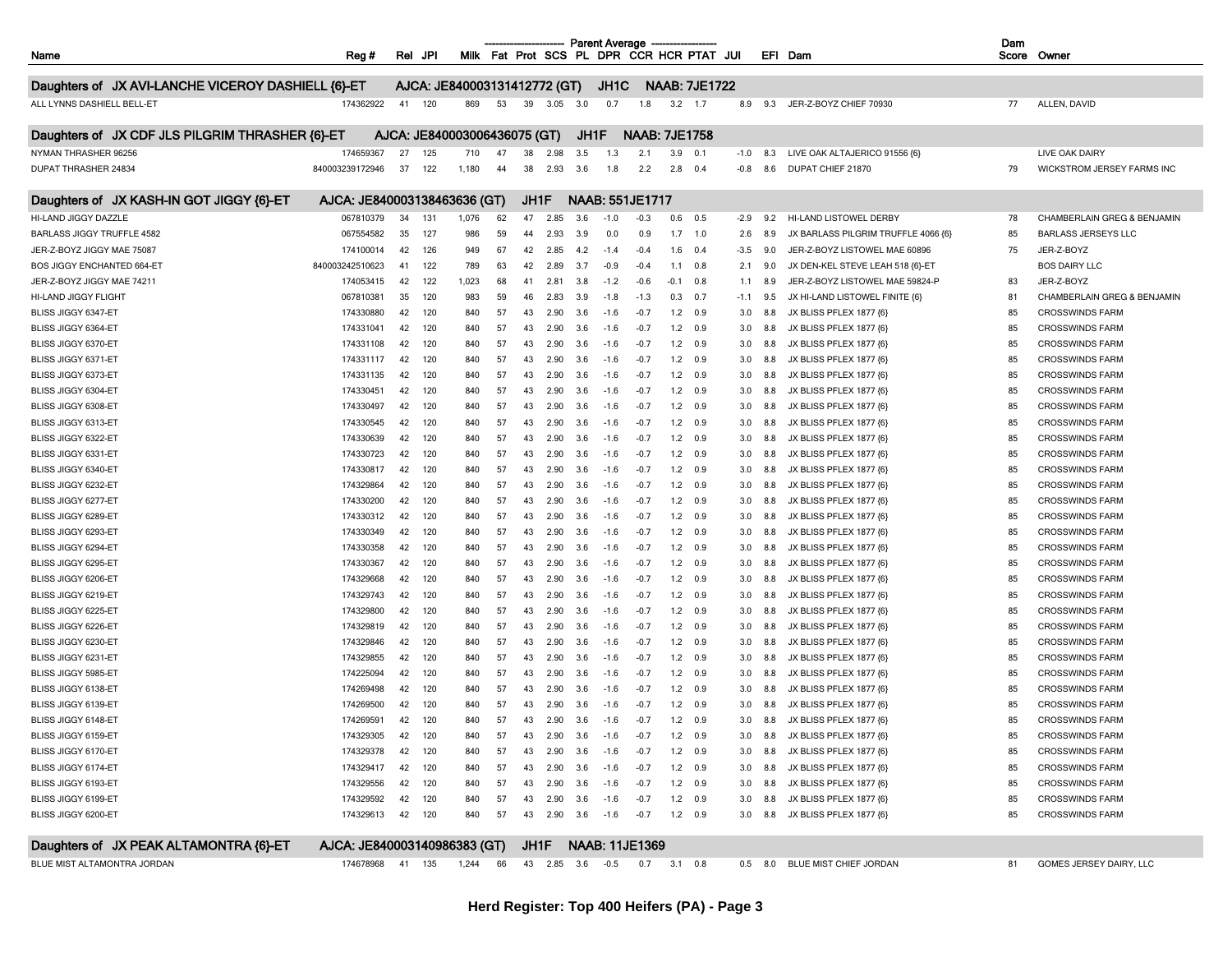|                                                    |                              |                                                        |       |    |      |          |      | <b>Parent Average</b> |                                           |       |                      |        |     |                                     | Dam   |                             |
|----------------------------------------------------|------------------------------|--------------------------------------------------------|-------|----|------|----------|------|-----------------------|-------------------------------------------|-------|----------------------|--------|-----|-------------------------------------|-------|-----------------------------|
| Name                                               | Reg#                         | Rel<br>JPI                                             |       |    |      |          |      |                       | Milk Fat Prot SCS PL DPR CCR HCR PTAT JUI |       |                      |        |     | EFI Dam                             | Score | Owner                       |
| Daughters of JX AVI-LANCHE VICEROY DASHIELL {6}-ET |                              | AJCA: JE840003131412772 (GT)                           |       |    |      |          |      | JH <sub>1</sub> C     |                                           |       | <b>NAAB: 7JE1722</b> |        |     |                                     |       |                             |
| ALL LYNNS DASHIELL BELL-ET                         | 174362922                    | 41<br>120                                              | 869   | 53 | 39   | 3.05     | 3.0  | 0.7                   | 1.8                                       |       | $3.2$ 1.7            | 8.9    | 9.3 | JER-Z-BOYZ CHIEF 70930              | 77    | ALLEN, DAVID                |
|                                                    |                              |                                                        |       |    |      |          |      |                       |                                           |       |                      |        |     |                                     |       |                             |
| Daughters of JX CDF JLS PILGRIM THRASHER {6}-ET    |                              | AJCA: JE840003006436075 (GT)                           |       |    |      |          | JH1F |                       | <b>NAAB: 7JE1758</b>                      |       |                      |        |     |                                     |       |                             |
| NYMAN THRASHER 96256                               | 174659367                    | 27<br>125                                              | 710   | 47 | 38   | 2.98     | 3.5  | 1.3                   | 2.1                                       | 3.9   | 0.1                  | $-1.0$ | 8.3 | LIVE OAK ALTAJERICO 91556 {6}       |       | LIVE OAK DAIRY              |
| DUPAT THRASHER 24834                               | 840003239172946              | 37<br>122                                              | 1,180 | 44 | 38   | 2.93     | 3.6  | 1.8                   | 2.2                                       | 2.8   | 0.4                  | -0.8   | 8.6 | DUPAT CHIEF 21870                   | 79    | WICKSTROM JERSEY FARMS INC  |
|                                                    |                              |                                                        |       |    |      |          |      |                       |                                           |       |                      |        |     |                                     |       |                             |
| Daughters of JX KASH-IN GOT JIGGY {6}-ET           | AJCA: JE840003138463636 (GT) |                                                        |       |    | JH1F |          |      |                       | NAAB: 551JE1717                           |       |                      |        |     |                                     |       |                             |
| HI-LAND JIGGY DAZZLE                               | 067810379                    | 34<br>131                                              | 1,076 | 62 | 47   | 2.85     | 3.6  | $-1.0$                | $-0.3$                                    | 0.6   | 0.5                  | $-2.9$ | 9.2 | HI-LAND LISTOWEL DERBY              | 78    | CHAMBERLAIN GREG & BENJAMIN |
| <b>BARLASS JIGGY TRUFFLE 4582</b>                  | 067554582                    | 35<br>127                                              | 986   | 59 | 44   | 2.93     | 3.9  | 0.0                   | 0.9                                       | 1.7   | 1.0                  | 2.6    | 8.9 | JX BARLASS PILGRIM TRUFFLE 4066 {6} | 85    | <b>BARLASS JERSEYS LLC</b>  |
| JER-Z-BOYZ JIGGY MAE 75087                         | 174100014                    | 42<br>126                                              | 949   | 67 | 42   | 2.85     | 4.2  | $-1.4$                | $-0.4$                                    | 1.6   | 0.4                  | $-3.5$ | 9.0 | JER-Z-BOYZ LISTOWEL MAE 60896       | 75    | JER-Z-BOYZ                  |
| <b>BOS JIGGY ENCHANTED 664-ET</b>                  | 840003242510623              | 122<br>41                                              | 789   | 63 | 42   | 2.89     | 3.7  | -0.9                  | -0.4                                      | 1.1   | 0.8                  | 2.1    | 9.0 | JX DEN-KEL STEVE LEAH 518 {6}-ET    |       | <b>BOS DAIRY LLC</b>        |
| JER-Z-BOYZ JIGGY MAE 74211                         | 174053415                    | 122<br>42                                              | 1,023 | 68 | 41   | 2.81     | 3.8  | $-1.2$                | $-0.6$                                    | -0.1  | 0.8                  | 1.1    | 8.9 | JER-Z-BOYZ LISTOWEL MAE 59824-P     | 83    | JER-Z-BOYZ                  |
| HI-LAND JIGGY FLIGHT                               | 067810381                    | 35<br>120                                              | 983   | 59 | 46   | 2.83     | 3.9  | $-1.8$                | $-1.3$                                    | 0.3   | 0.7                  | $-1.1$ | 9.5 | JX HI-LAND LISTOWEL FINITE {6}      | 81    | CHAMBERLAIN GREG & BENJAMIN |
| BLISS JIGGY 6347-ET                                | 174330880                    | 42<br>120                                              | 840   | 57 | 43   | 2.90     | 3.6  | $-1.6$                | -0.7                                      | 1.2   | 0.9                  | 3.0    | 8.8 | JX BLISS PFLEX 1877 {6}             | 85    | <b>CROSSWINDS FARM</b>      |
| BLISS JIGGY 6364-ET                                | 174331041                    | 42<br>120                                              | 840   | 57 | 43   | 2.90     | 3.6  | $-1.6$                | $-0.7$                                    | 1.2   | 0.9                  | 3.0    | 8.8 | JX BLISS PFLEX 1877 {6}             | 85    | <b>CROSSWINDS FARM</b>      |
| BLISS JIGGY 6370-ET                                | 174331108                    | 120<br>42                                              | 840   | 57 | 43   | 2.90     | 3.6  | $-1.6$                | $-0.7$                                    | 1.2   | 0.9                  | 3.0    | 8.8 | JX BLISS PFLEX 1877 {6}             | 85    | <b>CROSSWINDS FARM</b>      |
| BLISS JIGGY 6371-ET                                | 174331117                    | 42<br>120                                              | 840   | 57 | 43   | 2.90     | 3.6  | $-1.6$                | $-0.7$                                    | 1.2   | 0.9                  | 3.0    | 8.8 | JX BLISS PFLEX 1877 {6}             | 85    | <b>CROSSWINDS FARM</b>      |
| BLISS JIGGY 6373-ET                                | 174331135                    | 42<br>120                                              | 840   | 57 | 43   | 2.90     | 3.6  | $-1.6$                | $-0.7$                                    | 1.2   | 0.9                  | 3.0    | 8.8 | JX BLISS PFLEX 1877 {6}             | 85    | <b>CROSSWINDS FARM</b>      |
| BLISS JIGGY 6304-ET                                | 174330451                    | 120<br>42                                              | 840   | 57 | 43   | 2.90     | 3.6  | $-1.6$                | -0.7                                      | 1.2   | 0.9                  | 3.0    | 8.8 | JX BLISS PFLEX 1877 {6}             | 85    | <b>CROSSWINDS FARM</b>      |
| BLISS JIGGY 6308-ET                                | 174330497                    | 120<br>42                                              | 840   | 57 | 43   | 2.90     | 3.6  | $-1.6$                | $-0.7$                                    | 1.2   | 0.9                  | 3.0    | 8.8 | JX BLISS PFLEX 1877 {6}             | 85    | <b>CROSSWINDS FARM</b>      |
| BLISS JIGGY 6313-ET                                | 174330545                    | 42<br>120                                              | 840   | 57 | 43   | 2.90     | 3.6  | $-1.6$                | -0.7                                      | 1.2   | 0.9                  | 3.0    | 8.8 | JX BLISS PFLEX 1877 {6}             | 85    | <b>CROSSWINDS FARM</b>      |
| BLISS JIGGY 6322-ET                                | 174330639                    | 120<br>42                                              | 840   | 57 | 43   | 2.90     | 3.6  | $-1.6$                | $-0.7$                                    | 1.2   | 0.9                  | 3.0    | 8.8 | JX BLISS PFLEX 1877 {6}             | 85    | <b>CROSSWINDS FARM</b>      |
| BLISS JIGGY 6331-ET                                | 174330723                    | 42<br>120                                              | 840   | 57 | 43   | 2.90     | 3.6  | $-1.6$                | -0.7                                      | 1.2   | 0.9                  | 3.0    | 8.8 | JX BLISS PFLEX 1877 {6}             | 85    | <b>CROSSWINDS FARM</b>      |
| BLISS JIGGY 6340-ET                                | 174330817                    | 120<br>42                                              | 840   | 57 | 43   | 2.90     | 3.6  | $-1.6$                | $-0.7$                                    | 1.2   | 0.9                  | 3.0    | 8.8 | JX BLISS PFLEX 1877 {6}             | 85    | <b>CROSSWINDS FARM</b>      |
| BLISS JIGGY 6232-ET                                | 174329864                    | 120<br>42                                              | 840   | 57 | 43   | 2.90     | 3.6  | $-1.6$                | -0.1                                      | 1.2   | 0.9                  | 3.0    | 8.8 | JX BLISS PFLEX 1877 {6}             | 85    | <b>CROSSWINDS FARM</b>      |
| BLISS JIGGY 6277-ET                                | 174330200                    | 120<br>42                                              | 840   | 57 | 43   | 2.90     | 3.6  | $-1.6$                | -0.7                                      | 1.2   | 0.9                  | 3.0    | 8.8 | JX BLISS PFLEX 1877 {6}             | 85    | <b>CROSSWINDS FARM</b>      |
| BLISS JIGGY 6289-ET                                | 174330312                    | 120<br>42                                              | 840   | 57 | 43   | 2.90     | 3.6  | $-1.6$                | $-0.7$                                    | 1.2   | 0.9                  | 3.0    | 8.8 | JX BLISS PFLEX 1877 {6}             | 85    | <b>CROSSWINDS FARM</b>      |
| BLISS JIGGY 6293-ET                                | 174330349                    | 42<br>120                                              | 840   | 57 | 43   | 2.90     | 3.6  | $-1.6$                | $-0.7$                                    | 1.2   | 0.9                  | 3.0    | 8.8 | JX BLISS PFLEX 1877 {6}             | 85    | <b>CROSSWINDS FARM</b>      |
| BLISS JIGGY 6294-ET                                | 174330358                    | 120<br>-42                                             | 840   | 57 | 43   | 2.90     | 3.6  | $-1.6$                | $-0.7$                                    | 1.2   | 0.9                  | 3.0    | 8.8 | JX BLISS PFLEX 1877 {6}             | 85    | <b>CROSSWINDS FARM</b>      |
| BLISS JIGGY 6295-ET                                | 174330367                    | 120<br>42                                              | 840   | 57 | 43   | 2.90     | 3.6  | $-1.6$                | -0.7                                      | $1.2$ | 0.9                  | 3.0    | 8.8 | JX BLISS PFLEX 1877 {6}             | 85    | <b>CROSSWINDS FARM</b>      |
| BLISS JIGGY 6206-ET                                | 174329668                    | 42<br>120                                              | 840   | 57 | 43   | 2.90     | 3.6  | $-1.6$                | $-0.1$                                    | 1.2   | 0.9                  | 3.0    | 8.8 | JX BLISS PFLEX 1877 {6}             | 85    | <b>CROSSWINDS FARM</b>      |
| BLISS JIGGY 6219-ET                                | 174329743                    | 120<br>42                                              | 840   | 57 | 43   | 2.90     | 3.6  | $-1.6$                | -0.7                                      | 1.2   | 0.9                  | 3.0    | 8.8 | JX BLISS PFLEX 1877 {6}             | 85    | <b>CROSSWINDS FARM</b>      |
| BLISS JIGGY 6225-ET                                | 174329800                    | 120<br>42                                              | 840   | 57 | 43   | 2<br>.90 | 3.6  | $-1.6$                | -0.7                                      | 1.2   | 0.9                  | 3.0    |     | JX BLISS PFLEX 1877 {6}             | 85    | <b>CROSSWINDS FARM</b>      |
| BLISS JIGGY 6226-ET                                | 174329819                    | 120<br>42                                              | 840   | 57 | 43   | 2.90     | 3.6  | $-1.6$                | $-0.7$                                    | 1.2   | 0.9                  | 3.0    | 8.8 | JX BLISS PFLEX 1877 {6}             | 85    | <b>CROSSWINDS FARM</b>      |
| BLISS JIGGY 6230-ET                                | 174329846                    | 42<br>120                                              | 840   | 57 | 43   | 2.90     | 3.6  | $-1.6$                | $-0.7$                                    | 1.2   | 0.9                  | 3.0    | 8.8 | JX BLISS PFLEX 1877 {6}             | 85    | <b>CROSSWINDS FARM</b>      |
| BLISS JIGGY 6231-ET                                | 174329855                    | 42<br>120                                              | 840   | 57 | 43   | 2.90     | 3.6  | $-1.6$                | -0.7                                      | 1.2   | 0.9                  | 3.0    |     | JX BLISS PFLEX 1877 {6}             | 85    | <b>CROSSWINDS FARM</b>      |
| BLISS JIGGY 5985-ET                                | 174225094                    | 42<br>120                                              | 840   | 57 | 43   | 2.90     | 3.6  | $-1.6$                | $-0.7$                                    | 1.2   | 0.9                  | 3.0    | 8.8 | JX BLISS PFLEX 1877 {6}             | 85    | <b>CROSSWINDS FARM</b>      |
| BLISS JIGGY 6138-ET                                | 174269498                    | 120<br>42                                              | 840   | 57 | 43   | 2.90     | 3.6  | $-1.6$                | $-0.7$                                    | 1.2   | 0.9                  | 3.0    | 8.8 | JX BLISS PFLEX 1877 {6}             | 85    | <b>CROSSWINDS FARM</b>      |
| BLISS JIGGY 6139-ET                                | 174269500                    | 120<br>42                                              | 840   | 57 | 43   | 2.90     | 3.6  | $-1.6$                | -0.7                                      | 1.2   | 0.9                  | 3.0    |     | JX BLISS PFLEX 1877 {6}             | 85    | <b>CROSSWINDS FARM</b>      |
| BLISS JIGGY 6148-ET                                | 174269591                    | 120<br>42                                              | 840   | 57 | 43   | 2.90     | 3.6  | $-1.6$                | $-0.7$                                    | 1.2   | 0.9                  | 3.0    | 8.8 | JX BLISS PFLEX 1877 {6}             | 85    | <b>CROSSWINDS FARM</b>      |
| BLISS JIGGY 6159-ET                                |                              | 42                                                     | 840   | 57 | 43   |          |      |                       |                                           |       |                      |        |     |                                     |       | <b>CROSSWINDS FARM</b>      |
|                                                    | 174329305                    | 120                                                    |       |    |      | 2.90     | 3.6  | $-1.6$                | $-0.7$                                    | 1.2   | 0.9                  | 3.0    | 8.8 | JX BLISS PFLEX 1877 {6}             | 85    |                             |
| BLISS JIGGY 6170-ET                                | 174329378                    | 42<br>120                                              | 840   | 57 | 43   | 2.90     | 3.6  | $-1.6$                | $-0.7$                                    |       | $1.2 \t 0.9$         | 3.0    | 8.8 | JX BLISS PFLEX 1877 {6}             | 85    | <b>CROSSWINDS FARM</b>      |
| BLISS JIGGY 6174-ET                                | 174329417                    | 120<br>42                                              | 840   | 57 | 43   | 2.90     | 3.6  | $-1.6$                | $-0.7$                                    |       | $1.2 \t 0.9$         | 3.0    | 8.8 | JX BLISS PFLEX 1877 {6}             | 85    | <b>CROSSWINDS FARM</b>      |
| BLISS JIGGY 6193-ET                                | 174329556                    | 42<br>120                                              | 840   | 57 | 43   | 2.90     | 3.6  | $-1.6$                | $-0.7$                                    |       | $1.2 \t 0.9$         | 3.0    | 8.8 | JX BLISS PFLEX 1877 {6}             | 85    | <b>CROSSWINDS FARM</b>      |
| BLISS JIGGY 6199-ET                                | 174329592                    | 42<br>120                                              | 840   | 57 | 43   | 2.90     | 3.6  | $-1.6$                | $-0.7$                                    | 1.2   | 0.9                  | 3.0    | 8.8 | JX BLISS PFLEX 1877 {6}             | 85    | <b>CROSSWINDS FARM</b>      |
| BLISS JIGGY 6200-ET                                | 174329613                    | 42<br>120                                              | 840   | 57 | 43   | 2.90     | 3.6  | $-1.6$                | $-0.7$                                    | 1.2   | 0.9                  | 3.0    | 8.8 | JX BLISS PFLEX 1877 {6}             | 85    | <b>CROSSWINDS FARM</b>      |
| Daughters of JX PEAK ALTAMONTRA {6}-ET             | AJCA: JE840003140986383 (GT) |                                                        |       |    | JH1F |          |      |                       | <b>NAAB: 11JE1369</b>                     |       |                      |        |     |                                     |       |                             |
| BLUE MIST ALTAMONTRA JORDAN                        |                              | 174678968 41 135 1,244 66 43 2.85 3.6 -0.5 0.7 3.1 0.8 |       |    |      |          |      |                       |                                           |       |                      |        |     | 0.5 8.0 BLUE MIST CHIEF JORDAN      | 81    | GOMES JERSEY DAIRY, LLC     |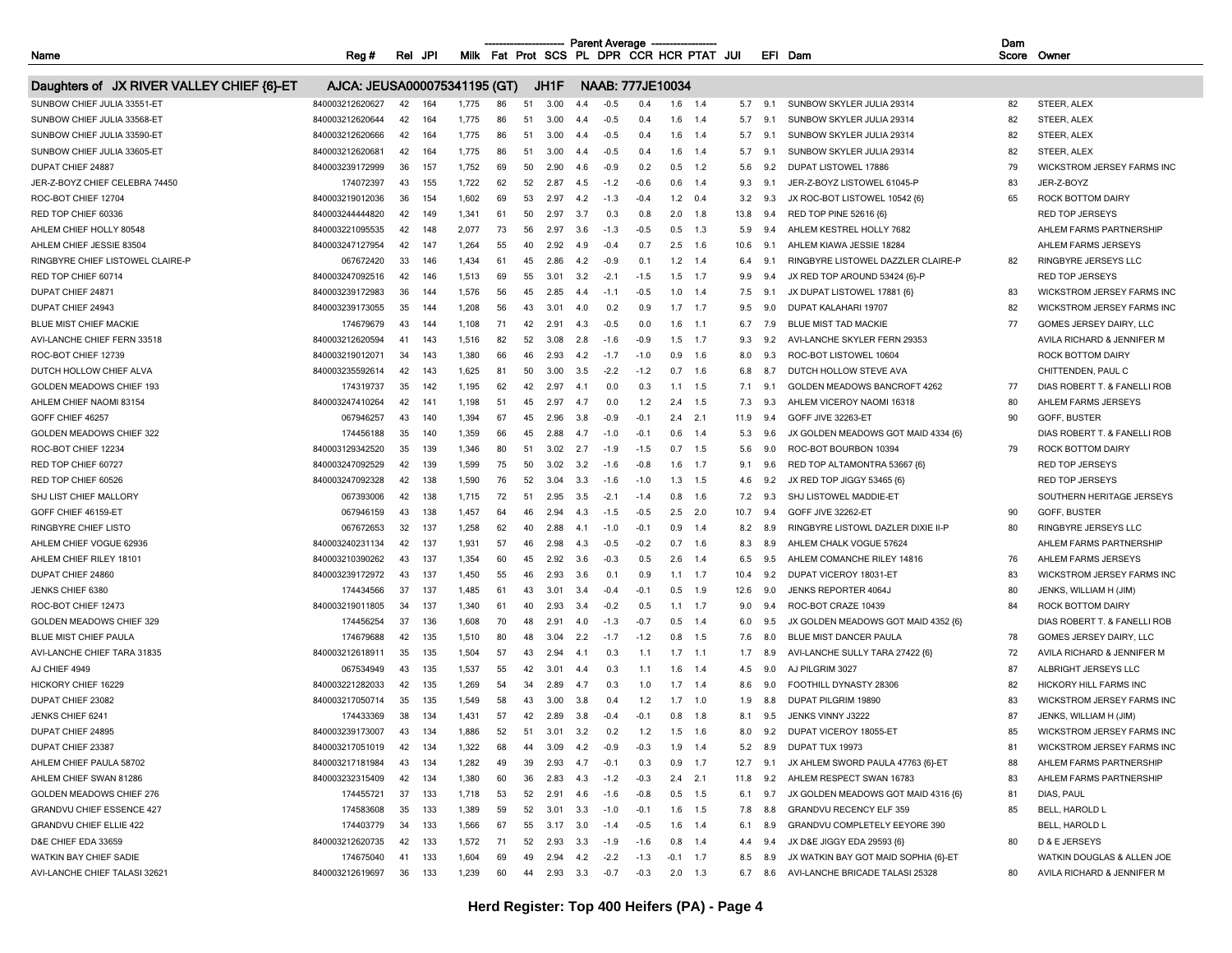**COL** 

| Fat Prot SCS PL DPR CCR HCR PTAT JUI<br>Name<br><b>Milk</b><br>JP!<br>Rel<br>Rea # |         |
|------------------------------------------------------------------------------------|---------|
|                                                                                    | EFI Dam |

Dam Score Owner

| Daughters of JX RIVER VALLEY CHIEF {6}-ET | AJCA: JEUSA000075341195 (GT) |    |     |       |    |    | JH1F  |              |        | NAAB: 777JE10034 |                |        |      |     |                                      |     |                              |
|-------------------------------------------|------------------------------|----|-----|-------|----|----|-------|--------------|--------|------------------|----------------|--------|------|-----|--------------------------------------|-----|------------------------------|
| SUNBOW CHIEF JULIA 33551-ET               | 840003212620627              | 42 | 164 | 1,775 | 86 | 51 | 3.00  | 4.4          | $-0.5$ | 0.4              | 1.6            | 1.4    | 5.7  | 9.1 | SUNBOW SKYLER JULIA 29314            | 82  | STEER, ALEX                  |
| SUNBOW CHIEF JULIA 33568-ET               | 840003212620644              | 42 | 164 | 1,775 | 86 | 51 | 3.00  | 4.4          | $-0.5$ | 0.4              | 1.6            | 1.4    | 5.7  | 9.1 | SUNBOW SKYLER JULIA 29314            | 82  | STEER, ALEX                  |
| SUNBOW CHIEF JULIA 33590-ET               | 840003212620666              | 42 | 164 | 1,775 | 86 | 51 | 3.00  | 4.4          | $-0.5$ | 0.4              | 1.6            | 1.4    | 5.7  | 9.1 | SUNBOW SKYLER JULIA 29314            | 82  | STEER, ALEX                  |
| SUNBOW CHIEF JULIA 33605-ET               | 840003212620681              | 42 | 164 | 1.775 | 86 | 51 | 3.00  | 4.4          | $-0.5$ | 0.4              | 1.6            | 1.4    | 5.7  | 91  | SUNBOW SKYLER JULIA 29314            | 82  | STEER, ALEX                  |
| DUPAT CHIEF 24887                         | 840003239172999              | 36 | 157 | 1,752 | 69 | 50 | 2.90  | 4.6          | $-0.9$ | 0.2              | 0.5            | 1.2    | 5.6  | 9.2 | <b>DUPAT LISTOWEL 17886</b>          | 79  | WICKSTROM JERSEY FARMS INC   |
| JER-Z-BOYZ CHIEF CELEBRA 74450            | 174072397                    | 43 | 155 | 1,722 | 62 | 52 | 2.87  | 4.5          | $-1.2$ | $-0.6$           | 0.6            | 1.4    | 9.3  | 9.1 | JER-Z-BOYZ LISTOWEL 61045-P          | 83  | JER-Z-BOYZ                   |
| ROC-BOT CHIEF 12704                       | 840003219012036              | 36 | 154 | 1,602 | 69 | 53 | 2.97  | 4.2          | $-1.3$ | $-0.4$           | 1.2            | 0.4    | 3.2  | 9.3 | JX ROC-BOT LISTOWEL 10542 {6}        | 65  | ROCK BOTTOM DAIRY            |
| RED TOP CHIEF 60336                       | 840003244444820              | 42 | 149 | 1,341 | 61 | 50 | 2.97  | 3.7          | 0.3    | 0.8              | 2.0            | 1.8    | 13.8 | 9.4 | RED TOP PINE 52616 {6}               |     | RED TOP JERSEYS              |
| AHLEM CHIEF HOLLY 80548                   | 840003221095535              | 42 | 148 | 2,077 | 73 | 56 | 2.97  | 3.6          | $-1.3$ | $-0.5$           | 0.5            | 1.3    | 5.9  | 9.4 | AHLEM KESTREL HOLLY 7682             |     | AHLEM FARMS PARTNERSHIP      |
| AHLEM CHIEF JESSIE 83504                  | 840003247127954              | 42 | 147 | 1,264 | 55 | 40 | 2.92  | 49           | $-0.4$ | 0.7              | 2.5            | 16     | 10.6 | 9.1 | AHLEM KIAWA JESSIE 18284             |     | AHLEM FARMS JERSEYS          |
| RINGBYRE CHIEF LISTOWEL CLAIRE-P          | 067672420                    | 33 | 146 | 1.434 | 61 | 45 | 2.86  | 4.2          | $-0.9$ | 0.1              | 1.2            | 1.4    | 6.4  | 9.1 | RINGBYRE LISTOWEL DAZZLER CLAIRE-P   | 82  | RINGBYRE JERSEYS LLC         |
| RED TOP CHIEF 60714                       | 840003247092516              | 42 | 146 | 1,513 | 69 | 55 | 3.01  | 3.2          | $-2.1$ | $-1.5$           | 1.5            | 1.7    | 9.9  | 9.4 | JX RED TOP AROUND 53424 {6}-P        |     | <b>RED TOP JERSEYS</b>       |
| DUPAT CHIEF 24871                         | 840003239172983              | 36 | 144 | 1,576 | 56 | 45 | 2.85  | 4.           | $-1.1$ | $-0.5$           | 1.0            | 1.4    | 7.5  | 9.1 | JX DUPAT LISTOWEL 17881 {6}          | 83  | WICKSTROM JERSEY FARMS INC   |
| DUPAT CHIEF 24943                         | 840003239173055              | 35 | 144 | 1,208 | 56 | 43 | 3.01  | 4.0          | 0.2    | 0.9              | 1.7            | 1.7    | 9.5  | 9.0 | DUPAT KALAHARI 19707                 | 82  | WICKSTROM JERSEY FARMS INC   |
| BLUE MIST CHIEF MACKIE                    | 174679679                    | 43 | 144 | 1,108 | 71 | 42 | 2.91  | 4.3          | $-0.5$ | 0.0              | 1.6            | $-1.1$ | 6.7  | 7.9 | <b>BLUE MIST TAD MACKIE</b>          | 77  | GOMES JERSEY DAIRY, LLC      |
| AVI-LANCHE CHIEF FERN 33518               | 840003212620594              | 41 | 143 | 1,516 | 82 | 52 | 3.08  | 28           | $-16$  | $-0.9$           | 1.5            | 17     | 9.3  | 92  | AVI-LANCHE SKYLER FERN 29353         |     | AVILA RICHARD & JENNIFER M   |
| ROC-BOT CHIEF 12739                       | 840003219012071              | 34 | 143 | 1.380 | 66 | 46 | 2.93  | 4.2          | $-1.7$ | $-1.0$           | 0.9            | 1.6    | 8.0  | 9.3 | ROC-BOT LISTOWEL 10604               |     | <b>ROCK BOTTOM DAIRY</b>     |
| DUTCH HOLLOW CHIEF ALVA                   | 840003235592614              | 42 | 143 | 1,625 | 81 | 50 | 3.00  | 3.5          | $-2.2$ | $-1.2$           | 0.7            | 1.6    | 6.8  | 8.7 | DUTCH HOLLOW STEVE AVA               |     | CHITTENDEN, PAUL C           |
| GOLDEN MEADOWS CHIEF 193                  | 174319737                    | 35 | 142 | 1,195 | 62 | 42 | 2.97  | 4.1          | 0.0    | 0.3              | 1.1            | 1.5    | 7.1  | 9.1 | GOLDEN MEADOWS BANCROFT 4262         | 77  | DIAS ROBERT T. & FANELLI ROB |
| AHLEM CHIEF NAOMI 83154                   | 840003247410264              | 42 | 141 | 1,198 | 51 | 45 | 2.97  | 4.7          | 0.0    | 1.2              | 2.4            | 1.5    | 7.3  | 9.3 | AHLEM VICEROY NAOMI 16318            | 80  | AHLEM FARMS JERSEYS          |
| GOFF CHIEF 46257                          | 067946257                    | 43 | 140 | 1,394 | 67 | 45 | 2.96  | 3.8          | -0.9   | $-0.1$           | 2.4            | 2.1    | 11.9 | 9.4 | GOFF JIVE 32263-ET                   | 90  | GOFF, BUSTER                 |
| GOLDEN MEADOWS CHIEF 322                  | 174456188                    | 35 | 140 | 1,359 | 66 | 45 | -2.88 | 4.7          | $-1.0$ | $-0.1$           | 0.6            | 1.4    | 5.3  | 9.6 | JX GOLDEN MEADOWS GOT MAID 4334 {6}  |     | DIAS ROBERT T. & FANELLI ROB |
| ROC-BOT CHIEF 12234                       | 840003129342520              | 35 | 139 | 1,346 | 80 | 51 | 3.02  | 2.7          | $-1.9$ | $-1.5$           | 0.7            | 1.5    | 5.6  | 9.0 | ROC-BOT BOURBON 10394                | 79  | ROCK BOTTOM DAIRY            |
| RED TOP CHIEF 60727                       | 840003247092529              | 42 | 139 | 1,599 | 75 | 50 | 3.02  | 3.2          | $-1.6$ | $-0.8$           | 1.6            | 1.7    | 9.1  | 9.6 | RED TOP ALTAMONTRA 53667 {6}         |     | <b>RED TOP JERSEYS</b>       |
| RED TOP CHIEF 60526                       | 840003247092328              | 42 | 138 | 1,590 | 76 | 52 | 3.04  | 3.3          | $-1.6$ | $-1.0$           | 1.3            | 1.5    | 4.6  | 9.2 | JX RED TOP JIGGY 53465 {6]           |     | <b>RED TOP JERSEYS</b>       |
| SHJ LIST CHIEF MALLORY                    | 067393006                    | 42 | 138 | 1,715 | 72 | 51 | 2.95  | 3.5          | $-2.1$ | $-1.4$           | 0.8            | 1.6    | 7.2  | 9.3 | SHJ LISTOWEL MADDIE-ET               |     | SOUTHERN HERITAGE JERSEYS    |
| GOFF CHIEF 46159-ET                       | 067946159                    | 43 | 138 | 1,457 | 64 | 46 | 2.94  | 43           | $-1.5$ | $-0.5$           | 2.5            | 2.0    | 10.7 | 9.4 | GOFF JIVE 32262-ET                   | 90  | GOFF, BUSTER                 |
| <b>RINGBYRE CHIEF LISTO</b>               | 067672653                    | 32 | 137 | 1,258 | 62 | 40 | 2.88  | 4.1          | $-1.0$ | $-0.1$           | 0.9            | 1.4    | 8.2  | 8.9 | RINGBYRE LISTOWL DAZLER DIXIE II-P   | 80  | <b>RINGBYRE JERSEYS LLC</b>  |
| AHLEM CHIEF VOGUE 62936                   | 840003240231134              | 42 | 137 | 1.931 | 57 | 46 | 2.98  | 4.3          | $-0.5$ | $-0.2$           | 0.7            | 1.6    | 8.3  | 8.9 | AHLEM CHALK VOGUE 57624              |     | AHLEM FARMS PARTNERSHIP      |
| AHLEM CHIEF RILEY 18101                   | 840003210390262              | 43 | 137 | 1.354 | 60 | 45 | 2.92  | 3.6          | $-0.3$ | 0.5              | 2.6            | 1.4    | 6.5  | 95  | AHLEM COMANCHE RILEY 14816           | 76  | AHLEM FARMS JERSEYS          |
| DUPAT CHIEF 24860                         | 840003239172972              | 43 | 137 | 1,450 | 55 | 46 | 2.93  | 3.6          | 0.     | 0.9              | 1.1            | 1.7    | 10.4 | 9.2 | DUPAT VICEROY 18031-E                | 83  | WICKSTROM JERSEY FARMS INC   |
| JENKS CHIEF 6380                          | 174434566                    | 37 | 137 | 1,485 | 61 | 43 | 3.01  | 3.4          | $-0.4$ | $-0.1$           | 0.5            | 1.9    | 12.6 | 9.0 | JENKS REPORTER 4064J                 | 80  | JENKS, WILLIAM H (JIM)       |
| ROC-BOT CHIEF 12473                       | 840003219011805              | 34 | 137 | 1,340 | 61 | 40 | 2.93  | 3.4          | $-0.2$ | 0.5              | 1.1            | 1.7    | 9.0  | 9.4 | ROC-BOT CRAZE 10439                  | 84  | ROCK BOTTOM DAIRY            |
| GOLDEN MEADOWS CHIEF 329                  | 174456254                    | 37 | 136 | 1,608 | 70 | 48 | 2.91  | 40           | $-1.3$ | $-0.7$           | 0.5            | 1.4    | 6.0  | 9.5 | JX GOLDEN MEADOWS GOT MAID 4352 {6}  |     | DIAS ROBERT T. & FANELLI ROB |
| <b>BLUE MIST CHIEF PAULA</b>              | 174679688                    | 42 | 135 | 1.510 | 80 | 48 | 3.04  | 2.2          | $-1.7$ | $-1.2$           | 0.8            | 1.5    | 7.6  | 8.0 | <b>BLUE MIST DANCER PAULA</b>        | 78  | GOMES JERSEY DAIRY, LLC      |
| AVI-LANCHE CHIEF TARA 31835               | 840003212618911              | 35 | 135 | 1,504 | 57 | 43 | 2.94  | $\mathbf{A}$ | 0.3    | 1.1              | 1.7            | 1.1    | 1.7  | 8.9 | AVI-LANCHE SULLY TARA 27422 {6}      | 72  | AVILA RICHARD & JENNIFER M   |
| AJ CHIEF 4949                             | 067534949                    | 43 | 135 | 1,537 | 55 | 42 | 3.01  | 4.           | 0.3    | 1.1              | 1.6            | 1.4    | 4.5  | 9.0 | AJ PILGRIM 3027                      | 87  | ALBRIGHT JERSEYS LLC         |
| HICKORY CHIEF 16229                       | 840003221282033              | 42 | 135 | 1,269 | 54 | 34 | 2.89  | 4.7          | 0.3    | 1.0              | 1.7            | 1.4    | 8.6  | 9.0 | FOOTHILL DYNASTY 28306               | 82  | HICKORY HILL FARMS INC       |
| DUPAT CHIEF 23082                         | 840003217050714              | 35 | 135 | 1,549 | 58 | 43 | 3.00  | 3.8          | 0.4    | 1.2              | 1.7            | $-1.0$ | 1.9  | 8.8 | DUPAT PILGRIM 19890                  | 83  | WICKSTROM JERSEY FARMS INC   |
| JENKS CHIEF 6241                          | 174433369                    | 38 | 134 | 1,431 | 57 | 42 | 2.89  | 38           | $-0.4$ | $-0.1$           | 0 <sup>8</sup> | 1.8    | 8.1  | 95  | JENKS VINNY J3222                    | 87  | JENKS, WILLIAM H (JIM)       |
| DUPAT CHIEF 24895                         | 840003239173007              | 43 | 134 | 1.886 | 52 | 51 | 3.01  | 3.2          | 0.2    | 1.2              | 1.5            | 1.6    | 8.0  | 9.2 | DUPAT VICEROY 18055-ET               | 85  | WICKSTROM JERSEY FARMS INC   |
| DUPAT CHIEF 23387                         | 840003217051019              | 42 | 134 | 1,322 | 68 | 44 | 3.09  | 4.2          | $-0.9$ | $-0.3$           | 1.9            | 1.4    | 5.2  | 8.9 | DUPAT TUX 19973                      | 81  | WICKSTROM JERSEY FARMS INC   |
| AHLEM CHIEF PAULA 58702                   | 840003217181984              | 43 | 134 | 1,282 | 49 | 39 | 2.93  | 4.7          | $-0.1$ | 0.3              | 0.9            | 1.7    | 12.7 | 9.1 | JX AHLEM SWORD PAULA 47763 {6}-ET    | 88  | AHLEM FARMS PARTNERSHIP      |
| AHLEM CHIEF SWAN 81286                    | 840003232315409              | 42 | 134 | 1,380 | 60 | 36 | 2.83  | 4.3          | $-1.2$ | $-0.3$           | 2.4            | 2.1    | 11.8 | 9.2 | AHLEM RESPECT SWAN 16783             | 83  | AHLEM FARMS PARTNERSHIP      |
| GOLDEN MEADOWS CHIEF 276                  | 174455721                    | 37 | 133 | 1,718 | 53 | 52 | 2.91  | 4.6          | $-1.6$ | $-0.8$           | 0.5            | 1.5    | 6.1  | 9.7 | JX GOLDEN MEADOWS GOT MAID 4316 {6}  | 81  | DIAS, PAUL                   |
| <b>GRANDVU CHIEF ESSENCE 427</b>          | 174583608                    | 35 | 133 | 1,389 | 59 | 52 | -3.01 | 3.3          | $-1.0$ | $-0.1$           | 1.6            | 1.5    | 7.8  | 8.8 | <b>GRANDVU RECENCY ELF 359</b>       | 85  | <b>BELL, HAROLD L</b>        |
| <b>GRANDVU CHIEF ELLIE 422</b>            | 174403779                    | 34 | 133 | 1,566 | 67 | 55 | 3.17  | 3.0          | $-14$  | $-0.5$           | 16             | 14     | 6.1  | 8.9 | GRANDVU COMPLETELY EEYORE 390        |     | <b>BELL, HAROLD L</b>        |
| D&E CHIEF EDA 33659                       | 840003212620735              | 42 | 133 | 1,572 | 71 | 52 | 2.93  | 3.3          | $-1.9$ | $-1.6$           | 0.8            | 1.4    | 4.4  | 9.4 | JX D&E JIGGY EDA 29593 {6}           | 80  | D & E JERSEYS                |
| WATKIN BAY CHIEF SADIE                    | 174675040                    | 41 | 133 | 1,604 | 69 | 49 | 2.94  | 4.2          | $-2.2$ | $-1.3$           | $-0.1$         | 1.7    | 8.5  | 8.9 | JX WATKIN BAY GOT MAID SOPHIA {6}-ET |     | WATKIN DOUGLAS & ALLEN JOE   |
| AVI-LANCHE CHIEF TALASI 32621             | 840003212619697              | 36 | 133 | 1,239 | 60 | 44 | 2.93  | 3.3          | $-0.7$ | $-0.3$           | 2.0            | 1.3    | 6.7  | 8.6 | AVI-LANCHE BRICADE TALASI 25328      | -80 | AVILA RICHARD & JENNIFER M   |
|                                           |                              |    |     |       |    |    |       |              |        |                  |                |        |      |     |                                      |     |                              |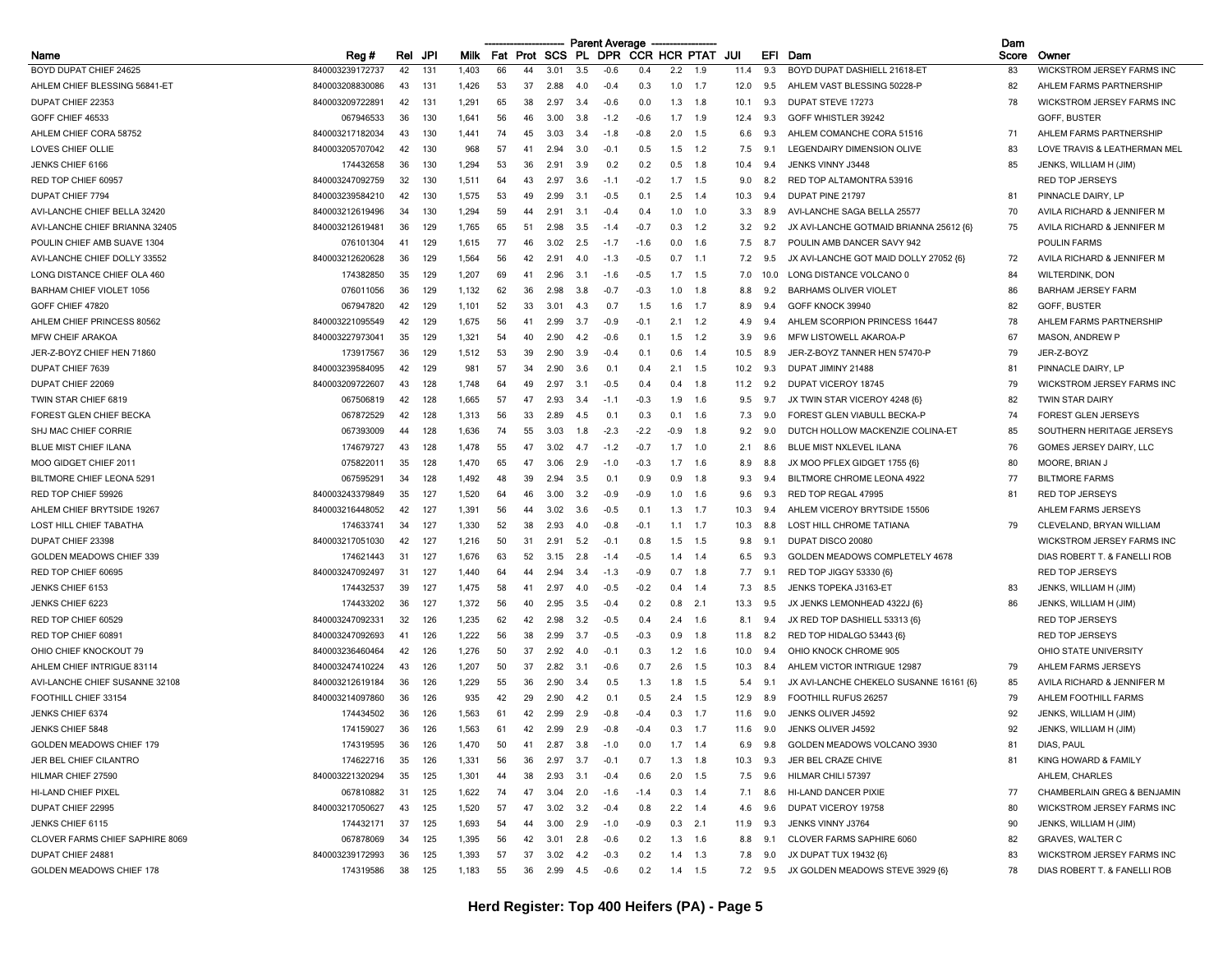|                                                 |                 |     |      |             |     |     |              |      | <b>Parent Average</b> |                     |        |           |      |                |                                         | Dam   |                                   |
|-------------------------------------------------|-----------------|-----|------|-------------|-----|-----|--------------|------|-----------------------|---------------------|--------|-----------|------|----------------|-----------------------------------------|-------|-----------------------------------|
| Name                                            | Reg#            | Rel | JPI  | <b>Milk</b> |     |     | Fat Prot SCS |      | PL DPR                | <b>CCR HCR PTAT</b> |        |           | JUI  | EFI            | Dam                                     | Score | Owner                             |
| BOYD DUPAT CHIEF 24625                          | 840003239172737 | 42  | 131  | 1,403       | 66  | 44  | 3.01         | 3.5  | $-0.6$                | 0.4                 | 2.2    | 1.9       | 11.4 | 9.3            | BOYD DUPAT DASHIELL 21618-ET            | 83    | WICKSTROM JERSEY FARMS INC        |
| AHLEM CHIEF BLESSING 56841-ET                   | 840003208830086 | 43  | 131  | 1,426       | 53  | 37  | 2.88         | 4.0  | $-0.4$                | 0.3                 | 1.0    | 1.7       | 12.0 | 9.5            | AHLEM VAST BLESSING 50228-P             | 82    | AHLEM FARMS PARTNERSHIP           |
| DUPAT CHIEF 22353                               | 840003209722891 | 42  | -131 | 1,291       | 65  | 38  | 2.97         | 3.4  | $-0.6$                | 0.0                 | 1.3    | 1.8       | 10.1 | 9.3            | DUPAT STEVE 17273                       | 78    | WICKSTROM JERSEY FARMS INC        |
| GOFF CHIEF 46533                                | 067946533       | 36  | 130  | 1,641       | 56  | 46  | 3.00         | 3.8  | $-1.2$                | $-0.6$              | 1.7    | 1.9       | 12.4 | 9.3            | GOFF WHISTLER 39242                     |       | GOFF, BUSTER                      |
| AHLEM CHIEF CORA 58752                          | 840003217182034 | 43  | 130  | 1,441       | 74  | 45  | 3.03         | 3.4  | $-1.8$                | $-0.8$              | 2.0    | 1.5       | 6.6  | 9.3            | AHLEM COMANCHE CORA 51516               | 71    | AHLEM FARMS PARTNERSHIP           |
| LOVES CHIEF OLLIE                               | 840003205707042 | 42  | 130  | 968         | 57  | 41  | 2.94         | 3.0  | $-0.1$                | 0.5                 | 1.5    | 1.2       | 7.5  | 9.1            | LEGENDAIRY DIMENSION OLIVE              | 83    | LOVE TRAVIS & LEATHERMAN MEL      |
| JENKS CHIEF 6166                                | 174432658       | 36  | 130  | 1,294       | 53  | 36  | 2.91         | 3.9  | 0.2                   | 0.2                 | 0.5    | 1.8       | 10.4 | 9.4            | JENKS VINNY J3448                       | 85    | JENKS, WILLIAM H (JIM)            |
| RED TOP CHIEF 60957                             | 840003247092759 | 32  | 130  | 1,511       | 64  | 43  | 2.97         | 3.6  | $-1.1$                | $-0.2$              | 1.7    | 1.5       | 9.0  | 8.2            | RED TOP ALTAMONTRA 53916                |       | RED TOP JERSEYS                   |
| DUPAT CHIEF 7794                                | 840003239584210 | 42  | 130  | 1,575       | 53  | 49  | 2.99         | -3.1 | $-0.5$                | 0.1                 | 2.5    | 1.4       | 10.3 | 9.4            | DUPAT PINE 21797                        | -81   | PINNACLE DAIRY, LP                |
| AVI-LANCHE CHIEF BELLA 32420                    | 840003212619496 | 34  | 130  | 1,294       | 59  | 44  | 2.91         | 3.1  | $-0.4$                | 0.4                 | 1.0    | 1.0       | 3.3  | 8.9            | AVI-LANCHE SAGA BELLA 25577             | 70    | AVILA RICHARD & JENNIFER M        |
| AVI-LANCHE CHIEF BRIANNA 32405                  | 840003212619481 | 36  | 129  | 1,765       | 65  | 51  | 2.98         | 3.5  | $-1.4$                | $-0.7$              | 0.3    | 1.2       | 3.2  | 9.2            | JX AVI-LANCHE GOTMAID BRIANNA 25612 {6} | 75    | AVILA RICHARD & JENNIFER M        |
| POULIN CHIEF AMB SUAVE 1304                     | 076101304       | 41  | 129  | 1,615       | 77  | 46  | 3.02         | 2.5  | $-1.7$                | $-1.6$              | 0.0    | 1.6       | 7.5  | 8.7            | POULIN AMB DANCER SAVY 942              |       | <b>POULIN FARMS</b>               |
| AVI-LANCHE CHIEF DOLLY 33552                    | 840003212620628 | 36  | 129  | 1,564       | 56  | 42  | 2.91         | 4.0  | $-1.3$                | $-0.5$              | 0.7    | $-1.1$    | 7.2  | 9.5            | JX AVI-LANCHE GOT MAID DOLLY 27052 (6)  | 72    | AVILA RICHARD & JENNIFER M        |
| LONG DISTANCE CHIEF OLA 460                     | 174382850       | 35  | 129  | 1,207       | 69  | 41  | 2.96         | 3.1  | $-1.6$                | $-0.5$              | 1.7    | 1.5       | 7.0  | 10.0           | LONG DISTANCE VOLCANO 0                 | 84    | <b>WILTERDINK, DON</b>            |
| <b>BARHAM CHIEF VIOLET 1056</b>                 | 076011056       | 36  | 129  | 1,132       | 62  | 36  | 2.98         | 3.8  | $-0.7$                | $-0.3$              | 1.0    | 1.8       | 8.8  | 9.2            | <b>BARHAMS OLIVER VIOLET</b>            | 86    | <b>BARHAM JERSEY FARM</b>         |
| GOFF CHIEF 47820                                | 067947820       | 42  | 129  | 1,101       | 52  | 33  | 3.01         | 4.3  | 0.7                   | 1.5                 | 1.6    | 1.7       | 8.9  | 9.4            | GOFF KNOCK 39940                        | 82    | GOFF, BUSTER                      |
| AHLEM CHIEF PRINCESS 80562                      | 840003221095549 | 42  | 129  | 1,675       | 56  | 41  | 2.99         | 3.7  | $-0.9$                | $-0.1$              | 2.1    | 1.2       | 4.9  | 9.4            | AHLEM SCORPION PRINCESS 16447           | 78    | AHLEM FARMS PARTNERSHIP           |
| <b>MFW CHEIF ARAKOA</b>                         | 840003227973041 | 35  | 129  | 1,321       | 54  | 40  | 2.90         | 4.2  | $-0.6$                | 0.1                 | 1.5    | 1.2       | 3.9  | 9.6            | MFW LISTOWELL AKAROA-P                  | 67    | MASON, ANDREW P                   |
| JER-Z-BOYZ CHIEF HEN 71860                      | 173917567       | 36  | 129  | 1,512       | 53  | 39  | 2.90         | 3.9  | $-0.4$                | 0.1                 | 0.6    | 1.4       | 10.5 | 8.9            | JER-Z-BOYZ TANNER HEN 57470-P           | 79    | JER-Z-BOYZ                        |
| DUPAT CHIEF 7639                                | 840003239584095 | 42  | 129  | 981         | 57  | 34  | 2.90         | 3.6  | 0.1                   | 0.4                 | 2.1    | 1.5       | 10.2 | 9.3            | DUPAT JIMINY 21488                      | 81    | PINNACLE DAIRY, LP                |
| DUPAT CHIEF 22069                               | 840003209722607 | 43  | 128  | 1,748       | 64  | 49  | 2.97         | 3.1  | $-0.5$                | 0.4                 | 0.4    | 1.8       | 11.2 | 9.2            | DUPAT VICEROY 18745                     | 79    | <b>WICKSTROM JERSEY FARMS INC</b> |
|                                                 |                 | 42  | 128  | 1,665       | 57  | -47 | 2.93         | 3.4  | $-1.1$                | $-0.3$              | 1.9    | 1.6       |      | 9.7            | JX TWIN STAR VICEROY 4248 {6}           | 82    | <b>TWIN STAR DAIRY</b>            |
| TWIN STAR CHIEF 6819<br>FOREST GLEN CHIEF BECKA | 067506819       |     |      |             | 56  |     |              |      |                       |                     |        |           | 9.5  |                |                                         |       |                                   |
|                                                 | 067872529       | 42  | 128  | 1,313       |     | 33  | 2.89         | 4.5  | 0.1                   | 0.3                 | 0.1    | 1.6       | 7.3  | 9.0            | FOREST GLEN VIABULL BECKA-P             | -74   | <b>FOREST GLEN JERSEYS</b>        |
| SHJ MAC CHIEF CORRIE                            | 067393009       | 44  | 128  | 1,636       | 74  | 55  | 3.03         | 1.8  | $-2.3$                | $-2.2$              | $-0.9$ | 1.8       | 9.2  | 9.0            | DUTCH HOLLOW MACKENZIE COLINA-ET        | 85    | SOUTHERN HERITAGE JERSEYS         |
| <b>BLUE MIST CHIEF ILANA</b>                    | 174679727       | 43  | 128  | 1,478       | 55  | 47  | 3.02         | 4.7  | $-1.2$                | $-0.7$              | 1.7    | 1.0       | 2.1  | 8.6            | BLUE MIST NXLEVEL ILANA                 | 76    | GOMES JERSEY DAIRY, LLC           |
| MOO GIDGET CHIEF 2011                           | 075822011       | 35  | 128  | 1,470       | 65  | 47  | 3.06         | 2.9  | $-1.0$                | $-0.3$              | 1.7    | 1.6       | 8.9  | 8.8            | JX MOO PFLEX GIDGET 1755 {6}            | 80    | MOORE, BRIAN J                    |
| BILTMORE CHIEF LEONA 529                        | 067595291       | 34  | 128  | 1,492       | 48  | 39  | 2.94         | 3.5  | 0.1                   | 0.9                 | 0.9    | 1.8       | 9.3  | 9.4            | BILTMORE CHROME LEONA 4922              | 77    | <b>BILTMORE FARMS</b>             |
| RED TOP CHIEF 59926                             | 840003243379849 | 35  | 127  | 1,520       | 64  | 46  | 3.00         | 3.2  | $-0.9$                | $-0.9$              | 1.0    | 1.6       | 9.6  | 9.3            | RED TOP REGAL 47995                     | 81    | <b>RED TOP JERSEYS</b>            |
| AHLEM CHIEF BRYTSIDE 19267                      | 840003216448052 | 42  | 127  | 1,391       | 56  | 44  | 3.02         | 3.6  | $-0.5$                | 0.1                 | 1.3    | 1.7       | 10.3 | 9.4            | AHLEM VICEROY BRYTSIDE 15506            |       | AHLEM FARMS JERSEYS               |
| LOST HILL CHIEF TABATHA                         | 174633741       | 34  | 127  | 1,330       | 52  | 38  | 2.93         | 4.0  | $-0.8$                | $-0.1$              | 1.1    | 1.7       | 10.3 | 8.8            | LOST HILL CHROME TATIANA                | 79    | CLEVELAND, BRYAN WILLIAM          |
| DUPAT CHIEF 23398                               | 840003217051030 | 42  | 127  | 1,216       | 50  | 31  | 2.91         | 5.2  | $-0.1$                | 0.8                 | 1.5    | 1.5       | 9.8  | 9.1            | DUPAT DISCO 20080                       |       | WICKSTROM JERSEY FARMS INC        |
| GOLDEN MEADOWS CHIEF 339                        | 174621443       | 31  | 127  | 1,676       | 63  | 52  | 3.15         | 2.8  | $-1.4$                | $-0.5$              | 1.4    | 1.4       | 6.5  | 9.3            | GOLDEN MEADOWS COMPLETELY 4678          |       | DIAS ROBERT T. & FANELLI ROB      |
| RED TOP CHIEF 60695                             | 840003247092497 | 31  | 127  | 1,440       | 64  | 44  | 2.94         | 3.4  | $-1.3$                | $-0.9$              | 0.7    | 1.8       | 7.7  | 9.1            | RED TOP JIGGY 53330 {6}                 |       | <b>RED TOP JERSEYS</b>            |
| JENKS CHIEF 6153                                | 174432537       | 39  | 127  | 1,475       | 58  | -41 | 2.97         | 4.0  | $-0.5$                | $-0.2$              | 0.4    | 1.4       | 7.3  | 8.5            | JENKS TOPEKA J3163-ET                   | 83    | JENKS, WILLIAM H (JIM)            |
| <b>JENKS CHIEF 6223</b>                         | 174433202       | 36  | 127  | 1,372       | 56  | 40  | 2.95         | 3.5  | $-0.4$                | 0.2                 | 0.8    | 2.1       | 13.3 | 9.5            | JX JENKS LEMONHEAD 4322J {6}            | 86    | JENKS, WILLIAM H (JIM)            |
| RED TOP CHIEF 60529                             | 840003247092331 | 32  | 126  | 1,235       | 62  | 42  | 2.98         | 3.2  | $-0.5$                | 0.4                 | 2.4    | 1.6       | 8.1  | 9.4            | JX RED TOP DASHIELL 53313 {6}           |       | <b>RED TOP JERSEYS</b>            |
| RED TOP CHIEF 60891                             | 840003247092693 | 41  | 126  | 1,222       | 56  | 38  | 2.99         | -3.7 | $-0.5$                | $-0.3$              | 0.9    | 1.8       | 11.8 | 8.2            | RED TOP HIDALGO 53443 {6}               |       | <b>RED TOP JERSEYS</b>            |
| OHIO CHIEF KNOCKOUT 79                          | 840003236460464 | 42  | 126  | 1,276       | 50  | 37  | 2.92         | 4.0  | $-0.1$                | 0.3                 | 1.2    | 1.6       | 10.0 | 9.4            | OHIO KNOCK CHROME 905                   |       | OHIO STATE UNIVERSITY             |
| AHLEM CHIEF INTRIGUE 83114                      | 840003247410224 | 43  | 126  | 1,207       | 50  | 37  | 2.82         | 3.1  | $-0.6$                | 0.7                 | 2.6    | 1.5       | 10.3 | 8.4            | AHLEM VICTOR INTRIGUE 12987             | 79    | AHLEM FARMS JERSEYS               |
| AVI-LANCHE CHIEF SUSANNE 32108                  | 840003212619184 | 36  | 126  | 1,229       | 55  | 36  | 2.90         | 3.4  | 0.5                   | 1.3                 | 1.8    | 1.5       | 5.4  | 9.1            | JX AVI-LANCHE CHEKELO SUSANNE 16161 {6} | 85    | AVILA RICHARD & JENNIFER M        |
| FOOTHILL CHIEF 33154                            | 840003214097860 | 36  | 126  | 935         | 42  | 29  | 2.90         | 4.2  | 0.1                   | 0.5                 | 2.4    | 1.5       | 12.9 | 8.9            | FOOTHILL RUFUS 26257                    | 79    | AHLEM FOOTHILL FARMS              |
| JENKS CHIEF 6374                                | 174434502       | 36  | 126  | 1,563       | 61  | 42  | 2.99         | 2.9  | $-0.8$                | $-0.4$              | 0.3    | 1.7       | 11.6 | 9.0            | JENKS OLIVER J4592                      | 92    | JENKS, WILLIAM H (JIM)            |
| JENKS CHIEF 5848                                | 174159027       | 36  | 126  | 1,563       | 61  | 42  | 2.99         | 2.9  | $-0.8$                | $-0.4$              | 0.3    | 1.7       | 11.6 | 9.0            | JENKS OLIVER J4592                      | 92    | JENKS, WILLIAM H (JIM)            |
| GOLDEN MEADOWS CHIEF 179                        | 174319595       | 36  | 126  | 1,470       | 50  | 41  | 2.87         | 3.8  | $-1.0$                | 0.0                 |        | $1.7$ 1.4 | 6.9  | 9.8            | GOLDEN MEADOWS VOLCANO 3930             | 81    | DIAS, PAUL                        |
| JER BEL CHIEF CILANTRO                          | 174622716       | 35  | 126  | 1,331       | 56  | 36  | 2.97         | 3.7  | $-0.1$                | 0.7                 | 1.3    | 1.8       | 10.3 | 9.3            | JER BEL CRAZE CHIVE                     | 81    | KING HOWARD & FAMILY              |
| HILMAR CHIEF 27590                              | 840003221320294 | 35  | 125  | 1,301       | 44  | 38  | 2.93         | 3.1  | $-0.4$                | 0.6                 | 2.0    | 1.5       | 7.5  | 9.6            | HILMAR CHILI 57397                      |       | AHLEM, CHARLES                    |
| HI-LAND CHIEF PIXEL                             | 067810882       | 31  | 125  | 1,622       | 74  | 47  | 3.04         | 2.0  | $-1.6$                | $-1.4$              |        | $0.3$ 1.4 | 7.1  | 8.6            | HI-LAND DANCER PIXIE                    | 77    | CHAMBERLAIN GREG & BENJAMIN       |
| DUPAT CHIEF 22995                               | 840003217050627 | 43  | 125  | 1,520       | -57 | 47  | 3.02         | 3.2  | $-0.4$                | 0.8                 |        | $2.2$ 1.4 | 4.6  | 9.6            | DUPAT VICEROY 19758                     | 80    | WICKSTROM JERSEY FARMS INC        |
| JENKS CHIEF 6115                                | 174432171       | 37  | 125  | 1,693       | 54  | 44  | 3.00         | 2.9  | $-1.0$                | $-0.9$              |        | $0.3$ 2.1 | 11.9 | 9.3            | JENKS VINNY J3764                       | 90    | JENKS, WILLIAM H (JIM)            |
| CLOVER FARMS CHIEF SAPHIRE 8069                 | 067878069       | 34  | 125  | 1,395       | 56  | 42  | 3.01         | 2.8  | $-0.6$                | 0.2                 |        | $1.3$ 1.6 | 8.8  | 9.1            | CLOVER FARMS SAPHIRE 6060               | 82    | GRAVES, WALTER C                  |
| DUPAT CHIEF 24881                               | 840003239172993 | 36  | 125  | 1,393       | 57  | 37  | 3.02         | 4.2  | $-0.3$                | 0.2                 |        | $1.4$ 1.3 | 7.8  | 9.0            | JX DUPAT TUX 19432 {6}                  | 83    | WICKSTROM JERSEY FARMS INC        |
| GOLDEN MEADOWS CHIEF 178                        | 174319586       | 38  | 125  | 1,183       | 55  | 36  | 2.99         | 4.5  | $-0.6$                | 0.2                 |        | $1.4$ 1.5 |      | $7.2\quad 9.5$ | JX GOLDEN MEADOWS STEVE 3929 {6}        | 78    | DIAS ROBERT T. & FANELLI ROB      |
|                                                 |                 |     |      |             |     |     |              |      |                       |                     |        |           |      |                |                                         |       |                                   |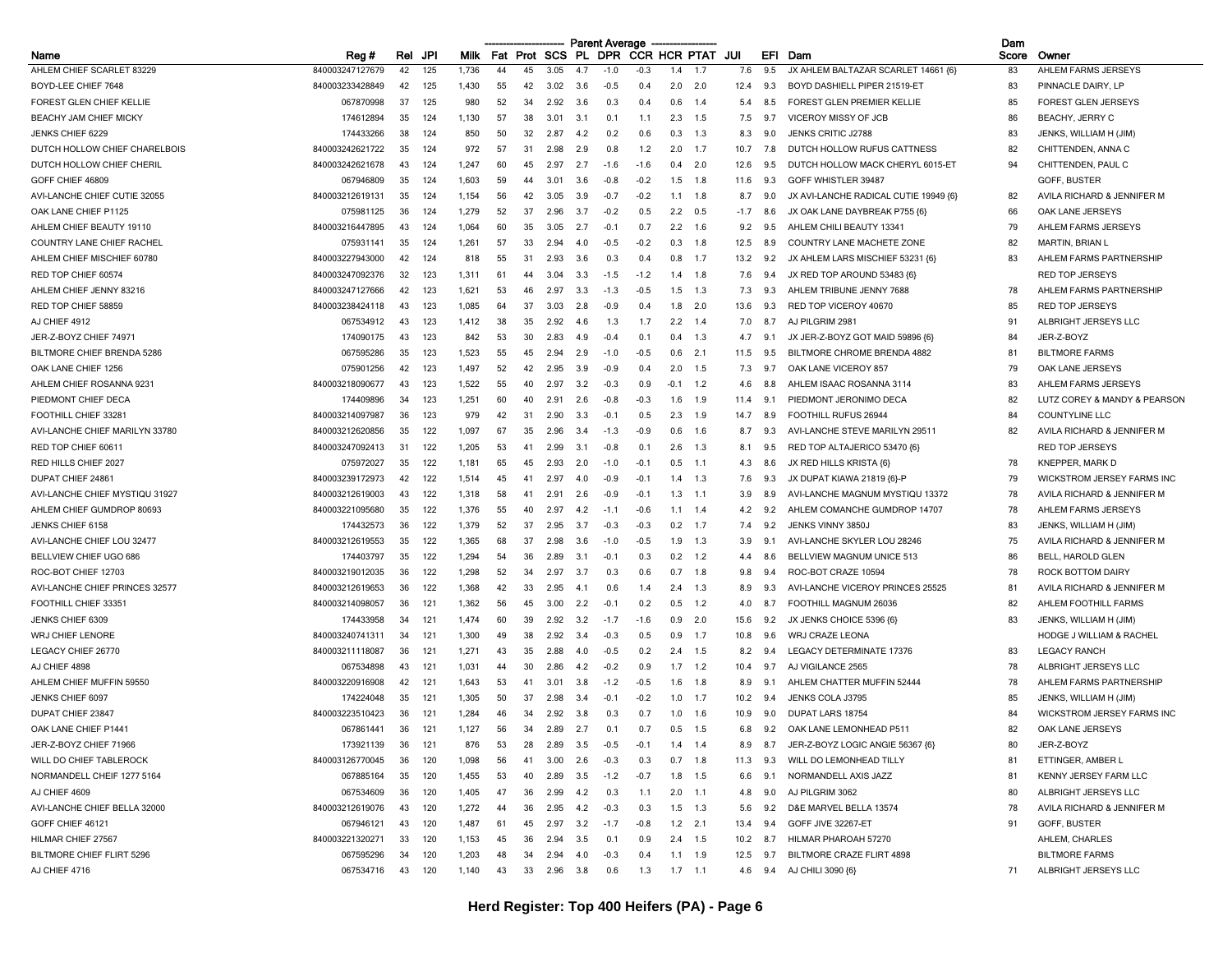|                                |                                    |     |     |       |     |     |          |            | <b>Parent Average</b> |                     |             |            |            |            |                                          | Dam   |                                                    |
|--------------------------------|------------------------------------|-----|-----|-------|-----|-----|----------|------------|-----------------------|---------------------|-------------|------------|------------|------------|------------------------------------------|-------|----------------------------------------------------|
| Name                           | Reg#                               | Rel | JPI | Milk  | Fat |     | Prot SCS | PL.        | <b>DPR</b>            | <b>CCR HCR PTAT</b> |             |            | JUI        | EFI        | Dam                                      | Score | Owner                                              |
| AHLEM CHIEF SCARLET 83229      | 840003247127679                    | 42  | 125 | 1,736 | 44  | 45  | 3.05     | 4.7        | $-1.0$                | $-0.3$              | 1.4         | 1.7        | 7.6        | 9.5        | JX AHLEM BALTAZAR SCARLET 14661 {6}      | 83    | AHLEM FARMS JERSEYS                                |
| BOYD-LEE CHIEF 7648            | 840003233428849                    | 42  | 125 | 1,430 | 55  | 42  | 3.02     | 3.6        | $-0.5$                | 0.4                 | 2.0         | 2.0        | 12.4       | 9.3        | BOYD DASHIELL PIPER 21519-ET             | 83    | PINNACLE DAIRY, LP                                 |
| FOREST GLEN CHIEF KELLIE       | 067870998                          | 37  | 125 | 980   | 52  | -34 | 2.92     | 3.6        | 0.3                   | 0.4                 | 0.6         | 1.4        | 5.4        | 8.5        | <b>FOREST GLEN PREMIER KELLIE</b>        | 85    | <b>FOREST GLEN JERSEYS</b>                         |
| BEACHY JAM CHIEF MICKY         | 174612894                          | 35  | 124 | 1,130 | 57  | 38  | 3.01     | 3.1        | 0.1                   | 1.1                 | 2.3         | 1.5        | 7.5        | 9.7        | VICEROY MISSY OF JCB                     | 86    | BEACHY, JERRY C                                    |
| JENKS CHIEF 6229               | 174433266                          | 38  | 124 | 850   | 50  | 32  | 2.87     | 4.2        | 0.2                   | 0.6                 | 0.3         | 1.3        | 8.3        | 9.0        | <b>JENKS CRITIC J2788</b>                | 83    | JENKS, WILLIAM H (JIM)                             |
| DUTCH HOLLOW CHIEF CHARELBOIS  | 840003242621722                    | 35  | 124 | 972   | 57  | -31 | 2.98     | 2.9        | 0.8                   | 1.2                 | 2.0         | 1.7        | 10.7       | 7.8        | DUTCH HOLLOW RUFUS CATTNESS              | 82    | CHITTENDEN, ANNA C                                 |
| DUTCH HOLLOW CHIEF CHERIL      | 840003242621678                    | 43  | 124 | 1,247 | 60  | 45  | 2.97     | 2.7        | $-1.6$                | $-1.6$              | 0.4         | 2.0        | 12.6       | 9.5        | DUTCH HOLLOW MACK CHERYL 6015-ET         | 94    | CHITTENDEN, PAUL C                                 |
| GOFF CHIEF 46809               | 067946809                          | 35  | 124 | 1,603 | 59  | 44  | 3.01     | 3.6        | $-0.8$                | $-0.2$              | 1.5         | 1.8        | 11.6       | 9.3        | GOFF WHISTLER 39487                      |       | GOFF, BUSTER                                       |
| AVI-LANCHE CHIEF CUTIE 32055   | 840003212619131                    | 35  | 124 | 1,154 | 56  | 42  | 3.05     | 3.9        | $-0.7$                | $-0.2$              | 1.1         | 1.8        | 8.7        | 9.0        | JX AVI-LANCHE RADICAL CUTIE 19949 {6}    | 82    | AVILA RICHARD & JENNIFER M                         |
| OAK LANE CHIEF P1125           | 075981125                          | 36  | 124 | 1,279 | 52  | 37  | 2.96     | 3.7        | $-0.2$                | 0.5                 | 2.2         | 0.5        | -1.7       | 8.6        | JX OAK LANE DAYBREAK P755 {6}            | 66    | OAK LANE JERSEYS                                   |
| AHLEM CHIEF BEAUTY 19110       | 840003216447895                    | 43  | 124 | 1,064 | 60  | 35  | 3.05     | 2.7        | $-0.1$                | 0.7                 | 2.2         | 1.6        | 9.2        | 9.5        | AHLEM CHILI BEAUTY 13341                 | 79    | AHLEM FARMS JERSEYS                                |
| COUNTRY LANE CHIEF RACHEL      | 075931141                          | 35  | 124 | 1,261 | 57  | 33  | 2.94     | 4.0        | $-0.5$                | $-0.2$              | 0.3         | 1.8        | 12.5       | 8.9        | COUNTRY LANE MACHETE ZONE                | 82    | <b>MARTIN, BRIAN L</b>                             |
| AHLEM CHIEF MISCHIEF 60780     | 840003227943000                    | 42  | 124 | 818   | 55  | 31  | 2.93     | 3.6        | 0.3                   | 0.4                 | 0.8         | 1.7        | 13.2       | 9.2        | JX AHLEM LARS MISCHIEF 53231 {6}         | 83    | AHLEM FARMS PARTNERSHIP                            |
| RED TOP CHIEF 60574            | 840003247092376                    | 32  | 123 | 1,311 | 61  | 44  | 3.04     | 3.3        | $-1.5$                | $-1.2$              | 1.4         | 1.8        | 7.6        | 9.4        | JX RED TOP AROUND 53483 {6}              |       | <b>RED TOP JERSEYS</b>                             |
| AHLEM CHIEF JENNY 83216        | 840003247127666                    | 42  | 123 | 1,621 | 53  | 46  | 2.97     | 3.3        | $-1.3$                | $-0.5$              | 1.5         | 1.3        | 7.3        | 9.3        | AHLEM TRIBUNE JENNY 7688                 | 78    | AHLEM FARMS PARTNERSHIP                            |
| RED TOP CHIEF 58859            | 840003238424118                    | 43  | 123 | 1,085 | 64  | 37  | 3.03     | 2.8        | $-0.9$                | 0.4                 | 1.8         | 2.0        | 13.6       | 9.3        | RED TOP VICEROY 40670                    | 85    | <b>RED TOP JERSEYS</b>                             |
| AJ CHIEF 4912                  | 067534912                          | 43  | 123 | 1,412 | 38  | 35  | 2.92     | 4.6        | 1.3                   | 1.7                 | 2.2         | 1.4        | 7.0        | 8.7        | AJ PILGRIM 2981                          | 91    | ALBRIGHT JERSEYS LLC                               |
| JER-Z-BOYZ CHIEF 74971         | 174090175                          | 43  | 123 | 842   | 53  | 30  | 2.83     | 4.9        | $-0.4$                | 0.7                 |             | 1.3        | 4.7        | 9.1        | JX JER-Z-BOYZ GOT MAID 59896 {6}         | 84    | JER-Z-BOYZ                                         |
| BILTMORE CHIEF BRENDA 5286     | 067595286                          | 35  | 123 | 1,523 | 55  | 45  | 2.94     | 2.9        | $-1.0$                | $-0.5$              | 0.6         | 2.1        | 11.5       | 9.5        | BILTMORE CHROME BRENDA 4882              | 81    | <b>BILTMORE FARMS</b>                              |
| OAK LANE CHIEF 1256            | 075901256                          | 42  | 123 | 1,497 | 52  | 42  | 2.95     | 3.9        | $-0.9$                | 0.4                 | 2.0         | 1.5        | 7.3        | 9.7        | OAK LANE VICEROY 857                     | 79    | OAK LANE JERSEYS                                   |
| AHLEM CHIEF ROSANNA 9231       | 840003218090677                    | 43  | 123 | 1,522 | 55  | 40  | 2.97     | 3.2        | $-0.3$                | 0.9                 | -0.1        | 1.2        | 4.6        | 8.8        | AHLEM ISAAC ROSANNA 3114                 | 83    | AHLEM FARMS JERSEYS                                |
| PIEDMONT CHIEF DECA            | 174409896                          | 34  | 123 | 1,251 | 60  | 40  | 2.91     | 2.6        | $-0.8$                | $-0.3$              | 1.6         | 1.9        | 11.4       | 9.1        | PIEDMONT JERONIMO DECA                   | 82    | LUTZ COREY & MANDY & PEARSON                       |
| FOOTHILL CHIEF 33281           | 840003214097987                    | 36  | 123 | 979   | 42  | -31 | 2.90     | 3.3        | $-0.1$                | 0.5                 | 2.3         | 1.9        | 14.7       | 8.9        | FOOTHILL RUFUS 26944                     | 84    | <b>COUNTYLINE LLC</b>                              |
| AVI-LANCHE CHIEF MARILYN 33780 | 840003212620856                    | 35  | 122 | 1,097 | 67  | 35  | 296      | 3.4        | $-1.3$                | $-0.9$              | 06          | 1.6        | 8.7        | 9.3        | AVI-LANCHE STEVE MARILYN 29511           | 82    | AVILA RICHARD & JENNIFER M                         |
| RED TOP CHIEF 60611            | 840003247092413                    | 31  | 122 | 1,205 | 53  | 41  | 2.99     | 3.1        | $-0.8$                | 0.1                 | 2.6         | 1.3        | 8.1        | 9.5        | RED TOP ALTAJERICO 53470 (6)             |       | <b>RED TOP JERSEYS</b>                             |
| RED HILLS CHIEF 2027           | 075972027                          | 35  | 122 | 1,181 | 65  | 45  | 2.93     | 2.0        | $-1.0$                | $-0.1$              | 0.5         | 1.1        | 4.3        | 8.6        | JX RED HILLS KRISTA {6}                  | 78    | <b>KNEPPER, MARK D</b>                             |
| DUPAT CHIEF 24861              | 840003239172973                    | 42  | 122 | 1,514 | 45  | 41  | 2.97     | 4.0        | $-0.9$                | $-0.1$              | 1.4         | 1.3        | 7.6        | 9.3        | JX DUPAT KIAWA 21819 {6}-P               | 79    | WICKSTROM JERSEY FARMS INC                         |
| AVI-LANCHE CHIEF MYSTIQU 31927 | 840003212619003                    | 43  | 122 | 1,318 | 58  | 41  | 2.91     | 2.6        | $-0.9$                | $-0.1$              | 1.3         | 1.1        | 3.9        | 8.9        | AVI-LANCHE MAGNUM MYSTIQU 13372          | 78    | AVILA RICHARD & JENNIFER M                         |
| AHLEM CHIEF GUMDROP 80693      | 840003221095680                    | 35  | 122 | 1,376 | 55  | 40  | 2.97     | 4.2        | $-1.1$                | $-0.6$              | 1.1         | 1.4        | 4.2        | 9.2        | AHLEM COMANCHE GUMDROP 14707             | 78    | AHLEM FARMS JERSEYS                                |
| JENKS CHIEF 6158               | 174432573                          | 36  | 122 | 1,379 | 52  | 37  | 2.95     | 3.7        | $-0.3$                | $-0.3$              | 02          | 1.7        | 7.4        | 9.2        | JENKS VINNY 3850J                        | 83    | JENKS, WILLIAM H (JIM)                             |
| AVI-LANCHE CHIEF LOU 32477     | 840003212619553                    | 35  | 122 | 1,365 | 68  | 37  | 2.98     | 3.6        | $-1.0$                | $-0.5$              | 1.9         | 1.3        | 3.9        | 9.1        | AVI-LANCHE SKYLER LOU 28246              | 75    | AVILA RICHARD & JENNIFER M                         |
| BELLVIEW CHIEF UGO 686         | 174403797                          | 35  | 122 | 1,294 | 54  | 36  | 2.89     | 3.1        | $-0.1$                | 0.3                 | 0.2         | 1.2        | 4.4        | 8.6        | <b>BELLVIEW MAGNUM UNICE 513</b>         | 86    | BELL, HAROLD GLEN                                  |
| ROC-BOT CHIEF 12703            | 840003219012035                    | 36  | 122 | 1,298 | 52  | -34 | 2.97     | 3.7        | 0.3                   | 0.6                 | 0.7         | 1.8        | 9.8        | 9.4        | ROC-BOT CRAZE 10594                      | 78    | ROCK BOTTOM DAIRY                                  |
| AVI-LANCHE CHIEF PRINCES 32577 |                                    | 36  | 122 | 1,368 | 42  | 33  | 2.95     |            |                       |                     |             |            |            |            | AVI-LANCHE VICEROY PRINCES 25525         | 81    |                                                    |
| FOOTHILL CHIEF 33351           | 840003212619653<br>840003214098057 | 36  | 121 | 1,362 | 56  | 45  | 3.00     | 4.1<br>2.2 | 0.6<br>$-0.1$         | 1.4<br>0.2          | -2.4<br>0.5 | 1.3<br>1.2 | 8.9<br>4.0 | 9.3<br>8.7 | FOOTHILL MAGNUM 26036                    | 82    | AVILA RICHARD & JENNIFER M<br>AHLEM FOOTHILL FARMS |
| JENKS CHIEF 6309               | 174433958                          | 34  | 121 | 1,474 | 60  | 39  | 2.92     | 3.2        | $-1.7$                | $-1.6$              | 0.9         | 2.0        | 15.6       | 9.2        | JX JENKS CHOICE 5396 {6}                 | 83    |                                                    |
|                                |                                    |     |     |       |     |     |          |            |                       |                     | 09          |            |            |            |                                          |       | JENKS, WILLIAM H (JIM)                             |
| <b>WRJ CHIEF LENORE</b>        | 840003240741311                    | 34  | 121 | 1,300 | 49  | 38  | 2.92     | 3.4        | $-0.3$                | 0.5                 |             | 1.7        | 10.8       | 9.6        | <b>WRJ CRAZE LEONA</b>                   |       | <b>HODGE J WILLIAM &amp; RACHEL</b>                |
| LEGACY CHIEF 26770             | 840003211118087                    | 36  | 121 | 1,271 | 43  | 35  | 2.88     | 4.0        | $-0.5$                | 0.2                 | 2.4         | 1.5        | 8.2        | 9.4        | LEGACY DETERMINATE 17376                 | 83    | <b>LEGACY RANCH</b>                                |
| AJ CHIEF 4898                  | 067534898                          | 43  | 121 | 1,031 | 44  | 30  | 2.86     | 4.2        | $-0.2$                | 0.9                 | 1.7         | 1.2        | 10.4       | 9.7        | AJ VIGILANCE 2565                        | 78    | ALBRIGHT JERSEYS LLC                               |
| AHLEM CHIEF MUFFIN 59550       | 840003220916908                    | 42  | 121 | 1,643 | 53  | -41 | 3.01     | 3.8        | $-1.2$                | $-0.5$              | 1.6         | 1.8        | 8.9        | 9.1        | AHLEM CHATTER MUFFIN 52444               | 78    | AHLEM FARMS PARTNERSHIP                            |
| JENKS CHIEF 6097               | 174224048                          | 35  | 121 | 1,305 | 50  | 37  | 2.98     | 3.4        | $-0.1$                | $-0.2$              | 1.0         | 1.7        | 10.2       | 9.4        | JENKS COLA J3795                         | 85    | JENKS, WILLIAM H (JIM)                             |
| DUPAT CHIEF 23847              | 840003223510423                    | 36  | 121 | 1,284 | 46  | -34 | 2.92     | 3.8        | 0.3                   | 0.7                 | 1.0         | 1.6        | 10.9       | 9.0        | DUPAT LARS 18754                         | 84    | WICKSTROM JERSEY FARMS INC                         |
| OAK LANE CHIEF P1441           | 067861441                          | 36  | 121 | 1,127 | 56  | -34 | 2.89     | 2.7        | 0.1                   | 0.7                 | 0.5         | 1.5        | 6.8        | 9.2        | OAK LANE LEMONHEAD P511                  | 82    | OAK LANE JERSEYS                                   |
| JER-Z-BOYZ CHIEF 71966         | 173921139                          | 36  | 121 | 876   | 53  | 28  | 2.89     | 3.5        | $-0.5$                | $-0.1$              |             | $1.4$ 1.4  |            |            | 8.9 8.7 JER-Z-BOYZ LOGIC ANGIE 56367 {6} | 80    | JER-Z-BOYZ                                         |
| WILL DO CHIEF TABLEROCK        | 840003126770045                    | 36  | 120 | 1,098 | 56  | 41  | 3.00     | 2.6        | $-0.3$                | 0.3                 | 0.7         | 1.8        |            |            | 11.3 9.3 WILL DO LEMONHEAD TILLY         | 81    | ETTINGER, AMBER L                                  |
| NORMANDELL CHEIF 1277 5164     | 067885164                          | 35  | 120 | 1,455 | 53  | 40  | 2.89     | 3.5        | $-1.2$                | $-0.7$              | 1.8         | 1.5        | 6.6        | 9.1        | NORMANDELL AXIS JAZZ                     | 81    | <b>KENNY JERSEY FARM LLC</b>                       |
| AJ CHIEF 4609                  | 067534609                          | 36  | 120 | 1,405 | 47  | 36  | 2.99     | 4.2        | 0.3                   | 1.1                 | 2.0         | $-1.1$     | 4.8        | 9.0        | AJ PILGRIM 3062                          | 80    | ALBRIGHT JERSEYS LLC                               |
| AVI-LANCHE CHIEF BELLA 32000   | 840003212619076                    | 43  | 120 | 1,272 | 44  | 36  | 2.95     | 4.2        | $-0.3$                | 0.3                 |             | $1.5$ 1.3  | 5.6        | 9.2        | D&E MARVEL BELLA 13574                   | 78    | AVILA RICHARD & JENNIFER M                         |
| GOFF CHIEF 46121               | 067946121                          | 43  | 120 | 1,487 | 61  | 45  | 2.97     | 3.2        | $-1.7$                | $-0.8$              |             | $1.2$ 2.1  | 13.4       |            | 9.4 GOFF JIVE 32267-ET                   | 91    | GOFF, BUSTER                                       |
| HILMAR CHIEF 27567             | 840003221320271                    | 33  | 120 | 1,153 | 45  | 36  | 2.94     | 3.5        | 0.1                   | 0.9                 |             | $2.4$ 1.5  |            |            | 10.2 8.7 HILMAR PHAROAH 57270            |       | AHLEM, CHARLES                                     |
| BILTMORE CHIEF FLIRT 5296      | 067595296                          | 34  | 120 | 1,203 | 48  | 34  | 2.94     | 4.0        | $-0.3$                | 0.4                 |             | $1.1$ 1.9  | 12.5       | 9.7        | <b>BILTMORE CRAZE FLIRT 4898</b>         |       | <b>BILTMORE FARMS</b>                              |
| AJ CHIEF 4716                  | 067534716                          | 43  | 120 | 1,140 | 43  | 33  | 2.96     | 3.8        | 0.6                   | 1.3                 |             | $1.7$ 1.1  |            |            | 4.6 9.4 AJ CHILI 3090 {6}                | 71    | ALBRIGHT JERSEYS LLC                               |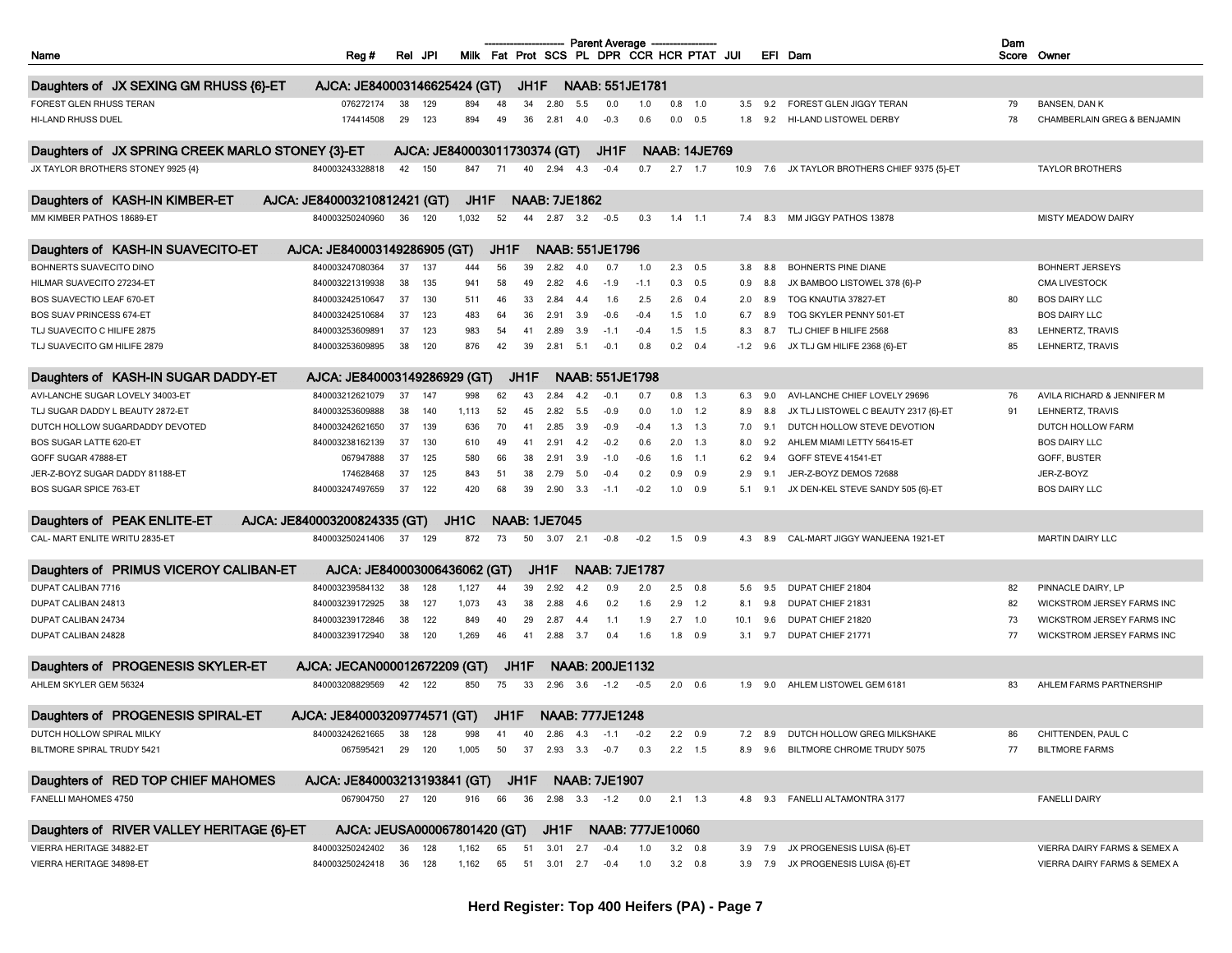| Name                                             | Reg#                                                         | Rel      | JPI        |                              |          |      |                      |      | <b>Parent Average</b><br>Milk Fat Prot SCS PL DPR CCR HCR PTAT JUI |            |                |                      |        |     | EFI Dam                              | Dam      | Score Owner                  |
|--------------------------------------------------|--------------------------------------------------------------|----------|------------|------------------------------|----------|------|----------------------|------|--------------------------------------------------------------------|------------|----------------|----------------------|--------|-----|--------------------------------------|----------|------------------------------|
| Daughters of JX SEXING GM RHUSS {6}-ET           | AJCA: JE840003146625424 (GT)                                 |          |            |                              |          | JH1F |                      |      | <b>NAAB: 551JE1781</b>                                             |            |                |                      |        |     |                                      |          |                              |
| FOREST GLEN RHUSS TERAN                          | 076272174                                                    |          |            |                              |          | 34   |                      | 5.5  |                                                                    |            | $0.8$ 1.0      |                      |        | 9.2 | FOREST GLEN JIGGY TERAN              |          | <b>BANSEN, DAN K</b>         |
|                                                  | 174414508                                                    | 38<br>29 | 129<br>123 | 894<br>894                   | 48<br>49 | 36   | 2.80                 |      | 0.0<br>$-0.3$                                                      | 1.0<br>0.6 | 0.0            | 0.5                  | 3.5    |     | HI-LAND LISTOWEL DERBY               | 79<br>78 |                              |
| HI-LAND RHUSS DUEL                               |                                                              |          |            |                              |          |      | 2.81                 | 4.0  |                                                                    |            |                |                      | 1.8    | 9.2 |                                      |          | CHAMBERLAIN GREG & BENJAMIN  |
| Daughters of JX SPRING CREEK MARLO STONEY {3}-ET |                                                              |          |            | AJCA: JE840003011730374 (GT) |          |      |                      |      | JH1F                                                               |            |                | <b>NAAB: 14JE769</b> |        |     |                                      |          |                              |
| JX TAYLOR BROTHERS STONEY 9925 {4}               | 840003243328818                                              | 42       | 150        | 847                          | 71       | 40   | 2.94                 | 4.3  | $-0.4$                                                             | 0.7        | 2.7            | 1.7                  | 10.9   | 7.6 | JX TAYLOR BROTHERS CHIEF 9375 {5}-ET |          | <b>TAYLOR BROTHERS</b>       |
| Daughters of KASH-IN KIMBER-ET                   | AJCA: JE840003210812421 (GT)                                 |          |            | JH1F                         |          |      | <b>NAAB: 7JE1862</b> |      |                                                                    |            |                |                      |        |     |                                      |          |                              |
| MM KIMBER PATHOS 18689-ET                        | 840003250240960                                              | 36       | 120        | 1,032                        | 52       | 44   | 2.87                 | 3.2  | $-0.5$                                                             | 0.3        | $1.4$ 1.1      |                      | 7.4    | 8.3 | MM JIGGY PATHOS 13878                |          | MISTY MEADOW DAIRY           |
| Daughters of KASH-IN SUAVECITO-ET                | AJCA: JE840003149286905 (GT)                                 |          |            |                              | JH1F     |      |                      |      | NAAB: 551JE1796                                                    |            |                |                      |        |     |                                      |          |                              |
| BOHNERTS SUAVECITO DINO                          | 840003247080364                                              | 37       | 137        | 444                          | 56       | 39   | 2.82                 | 4.0  | 0.7                                                                | 1.0        | 2.3            | 0.5                  | 3.8    | 8.8 | <b>BOHNERTS PINE DIANE</b>           |          | <b>BOHNERT JERSEYS</b>       |
| HILMAR SUAVECITO 27234-ET                        | 840003221319938                                              | 38       | 135        | 941                          | 58       | 49   | 2.82                 | 4.6  | $-1.9$                                                             | $-1.1$     | 0.3            | 0.5                  | 0.9    | 8.8 | JX BAMBOO LISTOWEL 378 {6}-P         |          | <b>CMA LIVESTOCK</b>         |
| BOS SUAVECTIO LEAF 670-ET                        | 840003242510647                                              | 37       | 130        | 511                          | 46       | 33   | 2.84                 | -4.4 | 1.6                                                                | 2.5        | 2.6            | 0.4                  | 2.0    | 8.9 | TOG KNAUTIA 37827-ET                 | 80       | <b>BOS DAIRY LLC</b>         |
| <b>BOS SUAV PRINCESS 674-ET</b>                  | 840003242510684                                              | 37       | 123        | 483                          | 64       | 36   | 2.91                 | 3.9  | $-0.6$                                                             | $-0.4$     | 1.5            | 1.0                  | 6.7    | 8.9 | TOG SKYLER PENNY 501-ET              |          | <b>BOS DAIRY LLC</b>         |
| TLJ SUAVECITO C HILIFE 2875                      | 840003253609891                                              | 37       | 123        | 983                          | 54       | 41   | 2.89                 | 3.9  | $-1.1$                                                             | $-0.4$     | 1.5            | 1.5                  | 8.3    | 8.7 | TLJ CHIEF B HILIFE 2568              | 83       | LEHNERTZ, TRAVIS             |
| TLJ SUAVECITO GM HILIFE 2879                     | 840003253609895                                              | 38       | 120        | 876                          | 42       | 39   | 2.81                 | 5.1  | $-0.1$                                                             | 0.8        | 0.2            | 0.4                  | $-1.2$ | 9.6 | JX TLJ GM HILIFE 2368 {6}-ET         | 85       | LEHNERTZ, TRAVIS             |
|                                                  |                                                              |          |            |                              |          |      |                      |      |                                                                    |            |                |                      |        |     |                                      |          |                              |
| Daughters of KASH-IN SUGAR DADDY-ET              | AJCA: JE840003149286929 (GT)                                 |          |            |                              |          | JH1F |                      |      | NAAB: 551JE1798                                                    |            |                |                      |        |     |                                      |          |                              |
| AVI-LANCHE SUGAR LOVELY 34003-ET                 | 840003212621079                                              | 37       | 147        | 998                          | 62       | 43   | 2.84                 | 4.2  | $-0.1$                                                             | 0.7        | 0.8            | 1.3                  | 6.3    | 9.0 | AVI-LANCHE CHIEF LOVELY 29696        | 76       | AVILA RICHARD & JENNIFER M   |
| TLJ SUGAR DADDY L BEAUTY 2872-ET                 | 840003253609888                                              | 38       | 140        | 1,113                        | 52       | 45   | 2.82                 | 5.5  | $-0.9$                                                             | 0.0        |                | $1.0$ $1.2$          | 8.9    | 8.8 | JX TLJ LISTOWEL C BEAUTY 2317 {6}-ET | 91       | LEHNERTZ, TRAVIS             |
| DUTCH HOLLOW SUGARDADDY DEVOTED                  | 840003242621650                                              | 37       | 139        | 636                          | 70       | 41   | 2.85                 | 3.9  | $-0.9$                                                             | $-0.4$     | 1.3            | 1.3                  | 7.0    | 9.1 | DUTCH HOLLOW STEVE DEVOTION          |          | DUTCH HOLLOW FARM            |
| <b>BOS SUGAR LATTE 620-ET</b>                    | 840003238162139                                              | 37       | 130        | 610                          | 49       | 41   | 2.91                 | 4.2  | $-0.2$                                                             | 0.6        | 2.0            | 1.3                  | 8.0    | 9.2 | AHLEM MIAMI LETTY 56415-ET           |          | <b>BOS DAIRY LLC</b>         |
| GOFF SUGAR 47888-ET                              | 067947888                                                    | 37       | 125        | 580                          | 66       | 38   | 2.91                 | 3.9  | $-1.0$                                                             | $-0.6$     | 1.6            | $-1.1$               | 6.2    | 9.4 | GOFF STEVE 41541-ET                  |          | GOFF, BUSTER                 |
| JER-Z-BOYZ SUGAR DADDY 81188-ET                  | 174628468                                                    | 37       | 125        | 843                          | 51       | 38   | 2.79                 | 5.0  | $-0.4$                                                             | 0.2        | 0.9            | 0.9                  | 2.9    | 9.1 | JER-Z-BOYZ DEMOS 72688               |          | JER-Z-BOYZ                   |
| <b>BOS SUGAR SPICE 763-ET</b>                    | 840003247497659                                              | 37       | 122        | 420                          | 68       | 39   | 2.90                 | 3.3  | $-1.1$                                                             | $-0.2$     | 1.0            | 0.9                  | 5.1    | 9.1 | JX DEN-KEL STEVE SANDY 505 {6}-ET    |          | <b>BOS DAIRY LLC</b>         |
|                                                  |                                                              |          |            |                              |          |      |                      |      |                                                                    |            |                |                      |        |     |                                      |          |                              |
| Daughters of PEAK ENLITE-ET                      | AJCA: JE840003200824335 (GT)                                 |          |            | JH <sub>1</sub> C            |          |      | <b>NAAB: 1JE7045</b> |      |                                                                    |            |                |                      |        |     |                                      |          |                              |
| CAL- MART ENLITE WRITU 2835-ET                   | 840003250241406                                              | 37       | 129        | 872                          | 73       | 50   | 3.07                 | 2.1  | $-0.8$                                                             | $-0.2$     | 1.5            | 0.9                  | 4.3    | 8.9 | CAL-MART JIGGY WANJEENA 1921-ET      |          | <b>MARTIN DAIRY LLC</b>      |
| Daughters of PRIMUS VICEROY CALIBAN-ET           | AJCA: JE840003006436062 (GT)                                 |          |            |                              |          |      | JH1F                 |      | <b>NAAB: 7JE1787</b>                                               |            |                |                      |        |     |                                      |          |                              |
| DUPAT CALIBAN 7716                               | 840003239584132                                              | 38       | 128        | 1,127                        | 44       | 39   | 2.92                 | 4.2  | 0.9                                                                | 2.0        | $2.5$ 0.8      |                      | 5.6    | 9.5 | DUPAT CHIEF 21804                    | 82       | PINNACLE DAIRY, LP           |
| DUPAT CALIBAN 24813                              | 840003239172925                                              | 38       | 127        | 1,073                        | 43       | 38   | 2.88                 | 4.6  | 0.2                                                                | 1.6        | 2.9            | 1.2                  | 8.1    | 9.8 | DUPAT CHIEF 21831                    | 82       | WICKSTROM JERSEY FARMS INC   |
| DUPAT CALIBAN 24734                              | 840003239172846                                              | 38       | 122        | 849                          | 40       | 29   | 2.87                 | 4.4  | 1.1                                                                | 1.9        | 2.7            | 1.0                  | 10.1   | 9.6 | DUPAT CHIEF 21820                    | 73       | WICKSTROM JERSEY FARMS INC   |
| DUPAT CALIBAN 24828                              | 840003239172940                                              | 38       | 120        | 1,269                        | 46       | 41   | 2.88                 | 3.7  | 0.4                                                                | 1.6        | 1.8            | 0.9                  | 3.1    | 9.7 | DUPAT CHIEF 21771                    | 77       | WICKSTROM JERSEY FARMS INC   |
| Daughters of PROGENESIS SKYLER-ET                | AJCA: JECAN000012672209 (GT)                                 |          |            |                              |          | JH1F |                      |      | <b>NAAB: 200JE1132</b>                                             |            |                |                      |        |     |                                      |          |                              |
| AHLEM SKYLER GEM 56324                           | 840003208829569                                              | 42       | 122        | 850                          | 75       | 33   | 2.96                 | 3.6  | $-1.2$                                                             | $-0.5$     | 2.0            | 0.6                  | 1.9    | 9.0 | AHLEM LISTOWEL GEM 6181              | 83       | AHLEM FARMS PARTNERSHIP      |
| Daughters of PROGENESIS SPIRAL-ET                | AJCA: JE840003209774571 (GT)                                 |          |            |                              | JH1F     |      |                      |      | <b>NAAB: 777JE1248</b>                                             |            |                |                      |        |     |                                      |          |                              |
| DUTCH HOLLOW SPIRAL MILKY                        | 840003242621665                                              | 38       | 128        | 998                          | -41      | 40   | 2.86                 | -4.3 | $-1.1$                                                             | $-0.2$     |                |                      |        | 8.9 | DUTCH HOLLOW GREG MILKSHAKE          |          | CHITTENDEN, PAUL C           |
| BILTMORE SPIRAL TRUDY 5421                       | 067595421 29 120                                             |          |            | 1,005                        | 50       |      | 37  2.93  3.3  -0.7  |      |                                                                    | 0.3        | $2.2$ 1.5      |                      | 8.9    |     | 9.6 BILTMORE CHROME TRUDY 5075       | 77       | <b>BILTMORE FARMS</b>        |
|                                                  |                                                              |          |            |                              |          |      |                      |      |                                                                    |            |                |                      |        |     |                                      |          |                              |
| Daughters of RED TOP CHIEF MAHOMES               | AJCA: JE840003213193841 (GT)                                 |          |            |                              |          |      |                      |      | JH1F NAAB: 7JE1907                                                 |            |                |                      |        |     |                                      |          |                              |
| <b>FANELLI MAHOMES 4750</b>                      | 067904750 27 120                                             |          |            | 916                          | 66       |      | 36  2.98  3.3  -1.2  |      |                                                                    | 0.0        | $2.1$ 1.3      |                      | 4.8    |     | 9.3 FANELLI ALTAMONTRA 3177          |          | <b>FANELLI DAIRY</b>         |
| Daughters of RIVER VALLEY HERITAGE {6}-ET        | AJCA: JEUSA000067801420 (GT) JH1F NAAB: 777JE10060           |          |            |                              |          |      |                      |      |                                                                    |            |                |                      |        |     |                                      |          |                              |
| VIERRA HERITAGE 34882-ET                         | 840003250242402                                              | 36       | 128        | 1,162                        | 65       |      | 51 3.01 2.7 -0.4     |      |                                                                    | 1.0        | $3.2\quad 0.8$ |                      | 3.9    |     | 7.9 JX PROGENESIS LUISA {6}-ET       |          | VIERRA DAIRY FARMS & SEMEX A |
| VIERRA HERITAGE 34898-ET                         | 840003250242418 36 128 1,162 65 51 3.01 2.7 -0.4 1.0 3.2 0.8 |          |            |                              |          |      |                      |      |                                                                    |            |                |                      |        |     | 3.9 7.9 JX PROGENESIS LUISA {6}-ET   |          | VIERRA DAIRY FARMS & SEMEX A |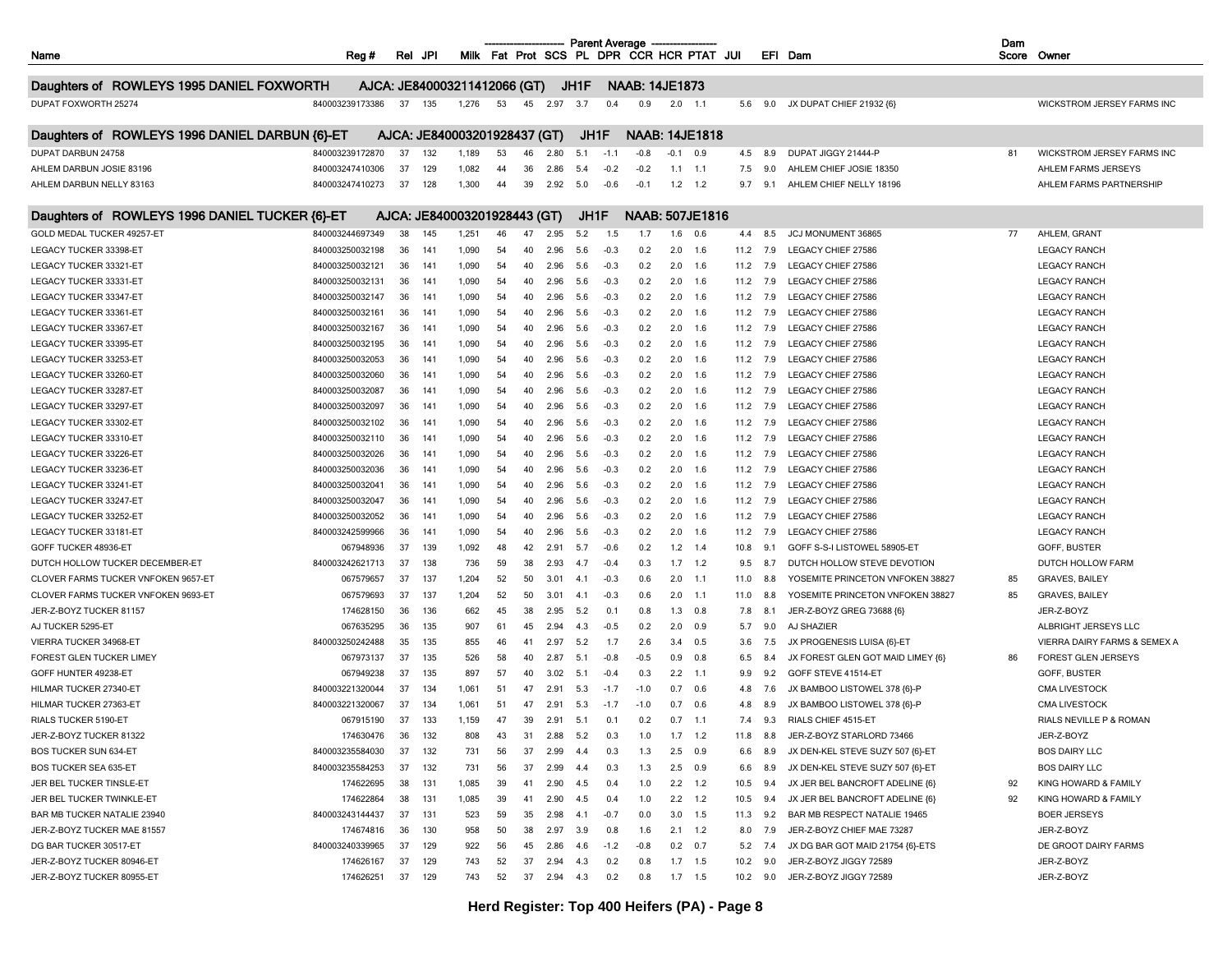|                                                |                 |     |     |                              |    |    |          |      | <b>Parent Average</b> |                       |                 |                                           |      |     |                                   | Dam |                                         |
|------------------------------------------------|-----------------|-----|-----|------------------------------|----|----|----------|------|-----------------------|-----------------------|-----------------|-------------------------------------------|------|-----|-----------------------------------|-----|-----------------------------------------|
| Name                                           | Reg#            | Rel | JPI |                              |    |    |          |      |                       |                       |                 | Milk Fat Prot SCS PL DPR CCR HCR PTAT JUI |      |     | EFI Dam                           |     | Score Owner                             |
|                                                |                 |     |     | AJCA: JE840003211412066 (GT) |    |    |          | JH1F |                       | <b>NAAB: 14JE1873</b> |                 |                                           |      |     |                                   |     |                                         |
| Daughters of ROWLEYS 1995 DANIEL FOXWORTH      |                 |     |     |                              |    |    |          |      |                       |                       |                 |                                           |      |     |                                   |     |                                         |
| DUPAT FOXWORTH 25274                           | 840003239173386 | 37  | 135 | 1,276                        | 53 | 45 | 2.97     | 3.7  | 0.4                   | 0.9                   | $2.0$ 1.1       |                                           | 5.6  | 9.0 | JX DUPAT CHIEF 21932 {6}          |     | WICKSTROM JERSEY FARMS INC              |
| Daughters of ROWLEYS 1996 DANIEL DARBUN {6}-ET |                 |     |     | AJCA: JE840003201928437 (GT) |    |    |          | JH1F |                       | <b>NAAB: 14JE1818</b> |                 |                                           |      |     |                                   |     |                                         |
| DUPAT DARBUN 24758                             | 840003239172870 | 37  | 132 | 1,189                        | 53 | 46 | 2.80     | 5.1  | $-1.1$                | $-0.8$                | $-0.1$          | 0.9                                       | 4.5  | 8.9 | DUPAT JIGGY 21444-P               | 81  | WICKSTROM JERSEY FARMS INC              |
| AHLEM DARBUN JOSIE 83196                       | 840003247410306 | 37  | 129 | 1,082                        | 44 | 36 | 2.86     | 5.4  | $-0.2$                | $-0.2$                | 1.1             | $-1.1$                                    | 7.5  | 9.0 | AHLEM CHIEF JOSIE 18350           |     | AHLEM FARMS JERSEYS                     |
| AHLEM DARBUN NELLY 83163                       | 840003247410273 | 37  | 128 | 1,300                        | 44 | 39 | 2.92     | 5.0  | $-0.6$                | $-0.1$                | 1.2             | 1.2                                       | 9.7  | 9.1 | AHLEM CHIEF NELLY 18196           |     | AHLEM FARMS PARTNERSHIP                 |
| Daughters of ROWLEYS 1996 DANIEL TUCKER {6}-ET |                 |     |     | AJCA: JE840003201928443 (GT) |    |    |          | JH1F |                       |                       |                 | <b>NAAB: 507JE1816</b>                    |      |     |                                   |     |                                         |
| GOLD MEDAL TUCKER 49257-ET                     | 840003244697349 | 38  | 145 | 1,251                        | 46 | 47 | 2.95     | 5.2  | 1.5                   | 1.7                   | 1.6             | 0.6                                       | 4.4  | 8.5 | JCJ MONUMENT 36865                | 77  | AHLEM, GRANT                            |
| LEGACY TUCKER 33398-ET                         | 840003250032198 | 36  | 141 | 1,090                        | 54 | 40 | 2.96     | 5.6  | $-0.3$                | 0.2                   | 2.0             | 1.6                                       | 11.2 | 7.9 | LEGACY CHIEF 27586                |     | <b>LEGACY RANCH</b>                     |
| LEGACY TUCKER 33321-ET                         | 840003250032121 | 36  | 141 | 1,090                        | 54 | 40 | 2.96     | 5.6  | $-0.3$                | 0.2                   | 2.0             | 1.6                                       | 11.2 | 7.9 | LEGACY CHIEF 27586                |     | <b>LEGACY RANCH</b>                     |
| LEGACY TUCKER 33331-ET                         | 840003250032131 | 36  | 141 | 1,090                        | 54 | 40 | 2.96     | 5.6  | $-0.3$                | 0.2                   | 2.0             | 1.6                                       | 11.2 | 7.9 | LEGACY CHIEF 27586                |     | <b>LEGACY RANCH</b>                     |
| LEGACY TUCKER 33347-ET                         | 840003250032147 | 36  | 141 | 1,090                        | 54 | 40 | 2.96     | 5.6  | $-0.3$                | 0.2                   | 2.0             | 1.6                                       | 11.2 | 7.9 | LEGACY CHIEF 27586                |     | <b>LEGACY RANCH</b>                     |
| LEGACY TUCKER 33361-ET                         | 840003250032161 | 36  | 141 | 1,090                        | 54 | 40 | 2.96     | 5.6  | $-0.3$                | 0.2                   | 2.0             | 1.6                                       | 11.2 | 7.9 | LEGACY CHIEF 27586                |     | <b>LEGACY RANCH</b>                     |
|                                                |                 |     | 141 |                              |    |    |          |      |                       |                       |                 |                                           |      |     |                                   |     |                                         |
| LEGACY TUCKER 33367-ET                         | 840003250032167 | 36  |     | 1,090                        | 54 | 40 | 2.96     | 5.6  | $-0.3$                | 0.2                   | 2.0             | 1.6                                       | 11.2 | 7.9 | LEGACY CHIEF 27586                |     | <b>LEGACY RANCH</b>                     |
| LEGACY TUCKER 33395-ET                         | 840003250032195 | 36  | 141 | 1,090                        | 54 | 40 | 2.96     | 5.6  | $-0.3$                | 0.2                   | 2.0             | 1.6                                       | 11.2 | 7.9 | LEGACY CHIEF 27586                |     | <b>LEGACY RANCH</b>                     |
| LEGACY TUCKER 33253-ET                         | 840003250032053 | 36  | 141 | 1,090                        | 54 | 40 | 2.96     | 5.6  | $-0.3$                | 0.2                   | 2.0             | 1.6                                       | 11.2 | 7.9 | LEGACY CHIEF 27586                |     | <b>LEGACY RANCH</b>                     |
| LEGACY TUCKER 33260-ET                         | 840003250032060 | 36  | 141 | 1,090                        | 54 | 40 | 2.96     | 5.6  | $-0.3$                | 0.2                   | 2.0             | 1.6                                       | 11.2 | 7.9 | LEGACY CHIEF 27586                |     | <b>LEGACY RANCH</b>                     |
| LEGACY TUCKER 33287-ET                         | 840003250032087 | 36  | 141 | 1,090                        | 54 | 40 | 2.96     | 5.6  | $-0.3$                | 0.2                   | 2.0             | 1.6                                       | 11.2 | 7.9 | LEGACY CHIEF 27586                |     | <b>LEGACY RANCH</b>                     |
| LEGACY TUCKER 33297-ET                         | 840003250032097 | 36  | 141 | 1,090                        | 54 | 40 | 2.96     | 5.6  | $-0.3$                | 0.2                   | 2.0             | 1.6                                       | 11.2 | 7.9 | <b>LEGACY CHIEF 27586</b>         |     | <b>LEGACY RANCH</b>                     |
| LEGACY TUCKER 33302-ET                         | 840003250032102 | 36  | 141 | 1,090                        | 54 | 40 | 2.96     | 5.6  | $-0.3$                | 0.2                   | 2.0             | 1.6                                       | 11.2 | 7.9 | LEGACY CHIEF 27586                |     | <b>LEGACY RANCH</b>                     |
| LEGACY TUCKER 33310-ET                         | 840003250032110 | 36  | 141 | 1,090                        | 54 | 40 | 2.96     | 5.6  | $-0.3$                | 0.2                   | 2.0             | 1.6                                       | 11.2 | 7.9 | LEGACY CHIEF 27586                |     | <b>LEGACY RANCH</b>                     |
| LEGACY TUCKER 33226-ET                         | 840003250032026 | 36  | 141 | 1,090                        | 54 | 40 | 2.96     | 5.6  | $-0.3$                | 0.2                   | 2.0             | 1.6                                       | 11.2 | 7.9 | LEGACY CHIEF 27586                |     | <b>LEGACY RANCH</b>                     |
| LEGACY TUCKER 33236-ET                         | 840003250032036 | 36  | 141 | 1,090                        | 54 | 40 | 2.96     | 5.6  | $-0.3$                | 0.2                   | 2.0             | 1.6                                       | 11.2 | 7.9 | LEGACY CHIEF 27586                |     | <b>LEGACY RANCH</b>                     |
| LEGACY TUCKER 33241-ET                         | 840003250032041 | 36  | 141 | 1,090                        | 54 | 40 | 2.96     | 5.6  | $-0.3$                | 0.2                   | 2.0             | 1.6                                       | 11.2 | 7.9 | LEGACY CHIEF 27586                |     | <b>LEGACY RANCH</b>                     |
| LEGACY TUCKER 33247-ET                         | 840003250032047 | 36  | 141 | 1,090                        | 54 | 40 | 2.96     | 5.6  | $-0.3$                | 0.2                   | 2.0             | 1.6                                       | 11.2 | 7.9 | LEGACY CHIEF 27586                |     | <b>LEGACY RANCH</b>                     |
| LEGACY TUCKER 33252-ET                         | 840003250032052 | 36  | 141 | 1,090                        | 54 | 40 | 2.96     | 5.6  | $-0.3$                | 0.2                   | 2.0             | 1.6                                       | 11.2 | 7.9 | LEGACY CHIEF 27586                |     | <b>LEGACY RANCH</b>                     |
| LEGACY TUCKER 33181-ET                         | 840003242599966 | 36  | 141 | 1,090                        | 54 | 40 | 2.96     | 5.6  | $-0.3$                | 0.2                   | 2.0             | 1.6                                       | 11.2 | 7.9 | LEGACY CHIEF 27586                |     | <b>LEGACY RANCH</b>                     |
| GOFF TUCKER 48936-ET                           | 067948936       | 37  | 139 | 1,092                        | 48 | 42 | 2.91     | 5.7  | $-0.6$                | 0.2                   | 1.2             | 1.4                                       | 10.8 | 9.1 | GOFF S-S-I LISTOWEL 58905-ET      |     | GOFF, BUSTER                            |
| DUTCH HOLLOW TUCKER DECEMBER-ET                | 840003242621713 | 37  | 138 | 736                          | 59 | 38 | 2.93     | 4.7  | $-0.4$                | 0.3                   | 1.7             | 1.2                                       | 9.5  | 8.7 | DUTCH HOLLOW STEVE DEVOTION       |     | DUTCH HOLLOW FARM                       |
| CLOVER FARMS TUCKER VNFOKEN 9657-ET            | 067579657       | 37  | 137 | 1,204                        | 52 | 50 | 3.01     | 4.1  | $-0.3$                | 0.6                   | 2.0             | $-1.1$                                    | 11.0 | 8.8 | YOSEMITE PRINCETON VNFOKEN 38827  | 85  | <b>GRAVES, BAILEY</b>                   |
| CLOVER FARMS TUCKER VNFOKEN 9693-ET            | 067579693       | 37  | 137 | 1,204                        | 52 | 50 | 3.01     | -4.1 | $-0.3$                | 0.6                   | 2.0             | $-1.1$                                    | 11.0 | 8.8 | YOSEMITE PRINCETON VNFOKEN 38827  | 85  | <b>GRAVES, BAILEY</b>                   |
| JER-Z-BOYZ TUCKER 81157                        | 174628150       | 36  | 136 | 662                          | 45 | 38 | 2.95     | 5.2  | 0.1                   | 0.8                   | 1.3             | 0.8                                       | 7.8  | 8.1 | JER-Z-BOYZ GREG 73688 {6}         |     | JER-Z-BOYZ                              |
| AJ TUCKER 5295-ET                              | 067635295       | 36  | 135 | 907                          | 61 | 45 | 2.94     | 4.3  | $-0.5$                | 0.2                   | 2.0             | 0.9                                       | 5.7  | 9.0 | AJ SHAZIER                        |     | ALBRIGHT JERSEYS LLC                    |
| VIERRA TUCKER 34968-ET                         | 840003250242488 | 35  | 135 | 855                          | 46 | 41 | 2.97     | 5.2  | 1.7                   | 2.6                   | 3.4             | 0.5                                       | 3.6  | 7.5 | JX PROGENESIS LUISA {6}-ET        |     | <b>VIERRA DAIRY FARMS &amp; SEMEX A</b> |
| FOREST GLEN TUCKER LIMEY                       | 067973137       | 37  | 135 | 526                          | 58 | 40 | 2.87     | 5.1  | $-0.8$                | $-0.5$                | 0.9             | 0.8                                       | 6.5  | 8.4 | JX FOREST GLEN GOT MAID LIMEY {6} | 86  | FOREST GLEN JERSEYS                     |
| GOFF HUNTER 49238-ET                           | 067949238       | 37  | 135 | 897                          | 57 | 40 | 3.02     | 5.1  | $-0.4$                | 0.3                   | 2.2             | $-1.1$                                    | 9.9  | 9.2 | GOFF STEVE 41514-ET               |     | GOFF, BUSTER                            |
| HILMAR TUCKER 27340-ET                         | 840003221320044 | 37  | 134 | 1,061                        | 51 | 47 | 2.91     | 5.3  | $-1.7$                | $-1.0$                | 0.7             | 0.6                                       | 4.8  | 7.6 | JX BAMBOO LISTOWEL 378 {6}-P      |     | <b>CMA LIVESTOCK</b>                    |
| HILMAR TUCKER 27363-ET                         | 840003221320067 | 37  | 134 | 1,061                        | 51 | 47 | 2.91     | 5.3  | $-1.7$                | $-1.0$                | 0.7             | 0.6                                       | 4.8  | 8.9 | JX BAMBOO LISTOWEL 378 {6}-P      |     | <b>CMA LIVESTOCK</b>                    |
| RIALS TUCKER 5190-ET                           | 067915190       | 37  | 133 | 1,159                        | 47 | 39 | 2.91     | 5.1  | 0.1                   | 0.2                   | 0.7             | $-1.1$                                    | 7.4  | 9.3 | RIALS CHIEF 4515-ET               |     | RIALS NEVILLE P & ROMAN                 |
| JER-Z-BOYZ TUCKER 81322                        | 174630476       | 36  | 132 | 808                          | 43 | 31 | 2.88     | 5.2  | 0.3                   | 1.0                   | 1.7             | 1.2                                       | 11.8 | 8.8 | JER-Z-BOYZ STARLORD 73466         |     | JER-Z-BOYZ                              |
| BOS TUCKER SUN 634-ET                          | 840003235584030 | 37  | 132 | 731                          | 56 | 37 | 2.99     | 4.4  | 0.3                   | 1.3                   | 2.5             | 0.9                                       | 6.6  | 8.9 | JX DEN-KEL STEVE SUZY 507 {6}-ET  |     | <b>BOS DAIRY LLC</b>                    |
|                                                |                 |     |     |                              |    |    |          |      |                       |                       |                 |                                           |      |     |                                   |     |                                         |
| BOS TUCKER SEA 635-ET                          | 840003235584253 | 37  | 132 | 731                          | 56 | 37 | 2.99     | 4.4  | 0.3                   | 1.3                   | $2.5\qquad 0.9$ |                                           | 6.6  | 8.9 | JX DEN-KEL STEVE SUZY 507 {6}-ET  |     | <b>BOS DAIRY LLC</b>                    |
| JER BEL TUCKER TINSLE-ET                       | 174622695       | 38  | 131 | 1,085                        | 39 | 41 | 2.90     | 4.5  | 0.4                   | 1.0                   | $2.2 \quad 1.2$ |                                           | 10.5 | 9.4 | JX JER BEL BANCROFT ADELINE {6}   | 92  | KING HOWARD & FAMILY                    |
| JER BEL TUCKER TWINKLE-ET                      | 174622864       | 38  | 131 | 1,085                        | 39 | 41 | 2.90     | 4.5  | 0.4                   | 1.0                   | 2.2             | 1.2                                       | 10.5 | 9.4 | JX JER BEL BANCROFT ADELINE {6}   | 92  | KING HOWARD & FAMILY                    |
| BAR MB TUCKER NATALIE 23940                    | 840003243144437 | 37  | 131 | 523                          | 59 | 35 | 2.98     | 4.1  | $-0.7$                | 0.0                   | $3.0$ 1.5       |                                           | 11.3 | 9.2 | BAR MB RESPECT NATALIE 19465      |     | <b>BOER JERSEYS</b>                     |
| JER-Z-BOYZ TUCKER MAE 81557                    | 174674816       | 36  | 130 | 958                          | 50 | 38 | 2.97     | 3.9  | 0.8                   | 1.6                   | $2.1 \quad 1.2$ |                                           | 8.0  | 7.9 | JER-Z-BOYZ CHIEF MAE 73287        |     | JER-Z-BOYZ                              |
| DG BAR TUCKER 30517-ET                         | 840003240339965 | 37  | 129 | 922                          | 56 | 45 | 2.86     | 4.6  | $-1.2$                | $-0.8$                | $0.2 \quad 0.7$ |                                           | 5.2  | 7.4 | JX DG BAR GOT MAID 21754 {6}-ETS  |     | DE GROOT DAIRY FARMS                    |
| JER-Z-BOYZ TUCKER 80946-ET                     | 174626167       | 37  | 129 | 743                          | 52 | 37 | 2.94     | 4.3  | 0.2                   | 0.8                   | $1.7$ 1.5       |                                           | 10.2 | 9.0 | JER-Z-BOYZ JIGGY 72589            |     | JER-Z-BOYZ                              |
| JER-Z-BOYZ TUCKER 80955-ET                     | 174626251       | 37  | 129 | 743                          | 52 | 37 | 2.94 4.3 |      | 0.2                   | 0.8                   | $1.7$ 1.5       |                                           | 10.2 | 9.0 | JER-Z-BOYZ JIGGY 72589            |     | JER-Z-BOYZ                              |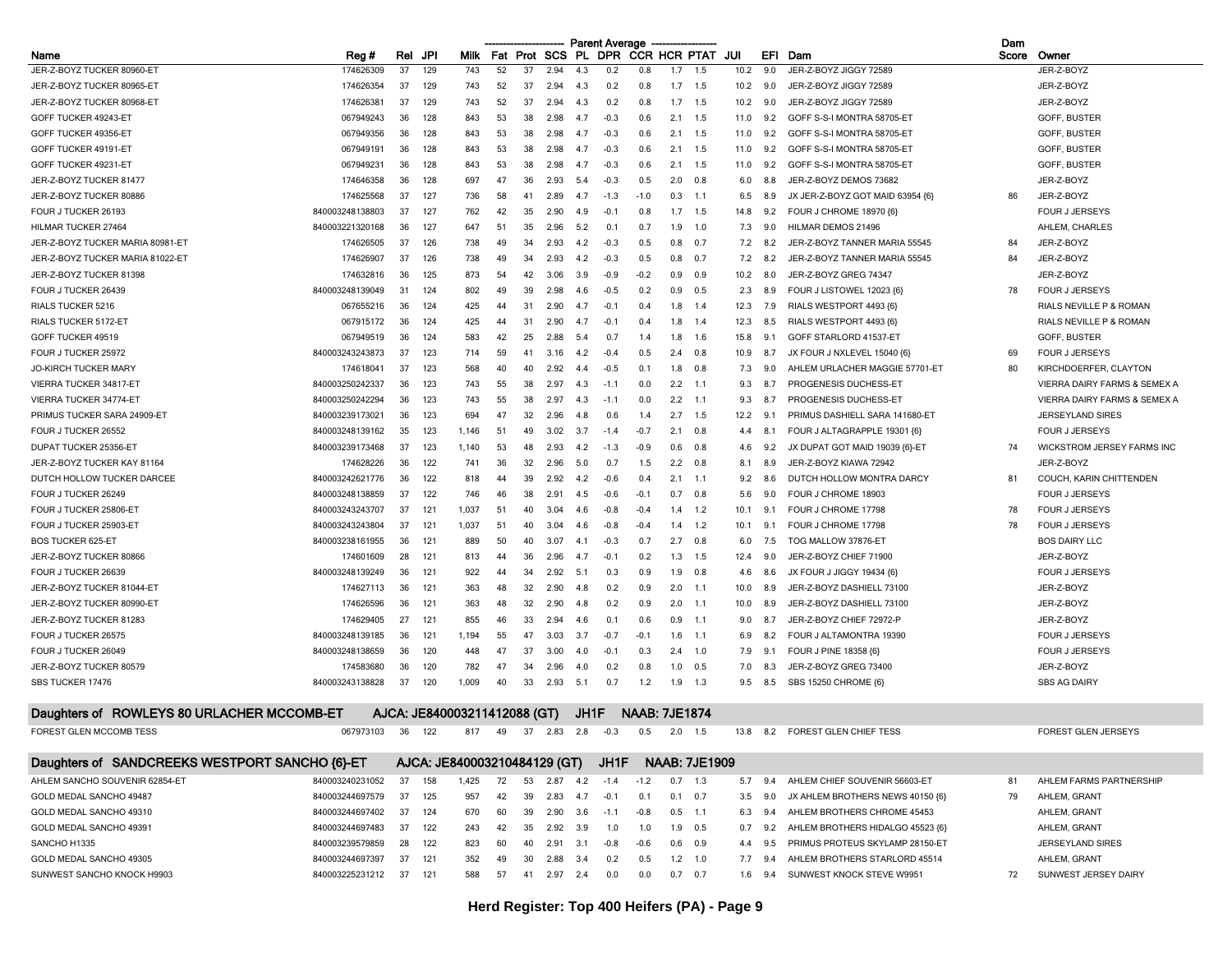|                                                |                 |     |     |                              |        |          |            |      | <b>Parent Average</b> |                      |           |                      |      |      |                                  | Dam   |                                         |
|------------------------------------------------|-----------------|-----|-----|------------------------------|--------|----------|------------|------|-----------------------|----------------------|-----------|----------------------|------|------|----------------------------------|-------|-----------------------------------------|
| Name                                           | Reg#            | Rel | JPI | Milk                         |        | Fat Prot | SCS PL     |      |                       | DPR CCR HCR PTAT     |           |                      | JUI  | EFI  | Dam                              | Score | Owner                                   |
| JER-Z-BOYZ TUCKER 80960-ET                     | 174626309       | 37  | 129 | 743                          | 52     | 37       | 2.94       | 4.3  | 0.2                   | 0.8                  | 1.7       | 1.5                  | 10.2 | 9.0  | JER-Z-BOYZ JIGGY 72589           |       | JER-Z-BOYZ                              |
| JER-Z-BOYZ TUCKER 80965-ET                     | 174626354       | 37  | 129 | 743                          | 52     | 37       | 2.94       | -4.3 | 0.2                   | 0.8                  |           | $1.7$ 1.5            | 10.2 | 9.0  | JER-Z-BOYZ JIGGY 72589           |       | JER-Z-BOYZ                              |
| JER-Z-BOYZ TUCKER 80968-ET                     | 174626381       | 37  | 129 | 743                          | 52     | 37       | 2.94       | 4.3  | 0.2                   | 0.8                  | 1.7       | 1.5                  | 10.2 | 9.0  | JER-Z-BOYZ JIGGY 72589           |       | JER-Z-BOYZ                              |
| GOFF TUCKER 49243-ET                           | 067949243       | 36  | 128 | 843                          | 53     | 38       | 2.98       | 4.7  | $-0.3$                | 0.6                  | 2.1       | 1.5                  | 11.0 | 9.2  | GOFF S-S-I MONTRA 58705-ET       |       | GOFF, BUSTER                            |
| GOFF TUCKER 49356-ET                           | 067949356       | 36  | 128 | 843                          | 53     | 38       | 2.98       | 4.7  | $-0.3$                | 0.6                  | 2.1       | 1.5                  | 11.0 | 9.2  | GOFF S-S-I MONTRA 58705-ET       |       | GOFF, BUSTER                            |
| GOFF TUCKER 49191-ET                           | 067949191       | 36  | 128 | 843                          | 53     | 38       | 2.98       | -4.7 | $-0.3$                | 0.6                  | 2.1       | 1.5                  | 11.0 | 9.2  | GOFF S-S-I MONTRA 58705-ET       |       | GOFF, BUSTER                            |
| GOFF TUCKER 49231-ET                           | 067949231       | 36  | 128 | 843                          | 53     | 38       | 2.98       | 4.7  | $-0.3$                | 0.6                  | 2.1       | 1.5                  | 11.0 | 9.2  | GOFF S-S-I MONTRA 58705-ET       |       | GOFF, BUSTER                            |
| JER-Z-BOYZ TUCKER 81477                        | 174646358       | 36  | 128 | 697                          | 47     | 36       | 2.93       | 5.4  | $-0.3$                | 0.5                  | 2.0       | 0.8                  | 6.0  | 8.8  | JER-Z-BOYZ DEMOS 73682           |       | JER-Z-BOYZ                              |
| JER-Z-BOYZ TUCKER 80886                        | 174625568       | 37  | 127 | 736                          | 58     | 41       | 2.89       | -47  | $-1.3$                | $-1.0$               | 0.3       | $-1.1$               | 6.5  | 8.9  | JX JER-Z-BOYZ GOT MAID 63954 {6} | 86    | JER-Z-BOYZ                              |
| FOUR J TUCKER 26193                            | 840003248138803 | 37  | 127 | 762                          | 42     | 35       | 2.90       | 4.9  | $-0.1$                | 0.8                  | 1.7       | 1.5                  | 14.8 | 9.2  | FOUR J CHROME 18970 {6}          |       | <b>FOUR J JERSEYS</b>                   |
| HILMAR TUCKER 27464                            | 840003221320168 | 36  | 127 | 647                          | 51     | 35       | 2.96       | 5.2  | 0.1                   | 0.7                  | 1.9       | 1.0                  | 7.3  | 9.0  | HILMAR DEMOS 21496               |       | AHLEM, CHARLES                          |
| JER-Z-BOYZ TUCKER MARIA 80981-ET               | 174626505       | 37  | 126 | 738                          | 49     | 34       | 2.93       |      | $-0.3$                | 0.5                  | 0.8       | 0.7                  | 7.2  | -8.2 | JER-Z-BOYZ TANNER MARIA 55545    | 84    | JER-Z-BOYZ                              |
| JER-Z-BOYZ TUCKER MARIA 81022-ET               | 174626907       | 37  | 126 | 738                          | 49     | 34       | 2.93       | 4.2  | $-0.3$                | 0.5                  | 0.8       | 0.7                  | 7.2  | 8.2  | JER-Z-BOYZ TANNER MARIA 55545    | 84    | JER-Z-BOYZ                              |
| JER-Z-BOYZ TUCKER 81398                        | 174632816       | 36  | 125 | 873                          | 54     | 42       | 3.06       | 3.9  | $-0.9$                | $-0.2$               | 0.9       | 0.9                  | 10.2 | 8.0  | JER-Z-BOYZ GREG 74347            |       | JER-Z-BOYZ                              |
| FOUR J TUCKER 26439                            | 840003248139049 | 31  | 124 | 802                          | 49     | 39       | 2.98       | -4.6 | $-0.5$                | 0.2                  | 0.9       | 0.5                  | 2.3  | 8.9  | FOUR J LISTOWEL 12023 {6}        | 78    | <b>FOUR J JERSEYS</b>                   |
| RIALS TUCKER 5216                              | 067655216       | 36  | 124 | 425                          | -44    | 31       | 2.90       | -4.7 | $-0.1$                | 0.4                  | 1.8       | 1.4                  | 12.3 | 7.9  | RIALS WESTPORT 4493 {6}          |       | RIALS NEVILLE P & ROMAN                 |
| RIALS TUCKER 5172-ET                           | 067915172       | 36  | 124 | 425                          | 44     | 31       | 2.90       | -4.7 | $-0.1$                | 0.4                  | 1.8       | $-1.4$               | 12.3 | 8.5  | RIALS WESTPORT 4493 {6}          |       | RIALS NEVILLE P & ROMAN                 |
| GOFF TUCKER 49519                              | 067949519       | 36  | 124 | 583                          | 42     | 25       | 2.88       | 5.4  | 0.7                   | 1.4                  | 1.8       | 1.6                  | 15.8 | 9.1  | GOFF STARLORD 41537-ET           |       | GOFF, BUSTER                            |
| FOUR J TUCKER 25972                            | 840003243243873 | 37  | 123 | 714                          | 59     | 41       | 3.16       | 4.2  | $-0.4$                | 0.5                  | 2.4       | 0.8                  | 10.9 | 8.7  | JX FOUR J NXLEVEL 15040 {6}      | 69    | FOUR J JERSEYS                          |
| <b>JO-KIRCH TUCKER MARY</b>                    | 174618041       | 37  | 123 | 568                          | 40     | 40       | 2.92       | -4.4 | $-0.5$                | 0.1                  | 1.8       | 0.8                  | 7.3  | 9.0  | AHLEM URLACHER MAGGIE 57701-ET   | 80    | KIRCHDOERFER, CLAYTON                   |
| VIERRA TUCKER 34817-ET                         | 840003250242337 | 36  | 123 | 743                          | 55     | 38       | 2.97       | 4.3  | $-1.1$                | 0.0                  | 2.2       | $-1.1$               | 9.3  | 8.7  | PROGENESIS DUCHESS-ET            |       | <b>VIERRA DAIRY FARMS &amp; SEMEX A</b> |
| VIERRA TUCKER 34774-ET                         | 840003250242294 | 36  | 123 | 743                          | 55     | 38       | 2.97       | 4.3  | $-1.1$                | 0.0                  | 2.2       | $-1.1$               | 9.3  | 8.7  | PROGENESIS DUCHESS-ET            |       | VIERRA DAIRY FARMS & SEMEX A            |
| PRIMUS TUCKER SARA 24909-ET                    | 840003239173021 | 36  | 123 | 694                          | 47     | 32       | 2.96       |      | 0.6                   | 1.4                  | 2.7       | 1.5                  | 12.2 | 9.1  | PRIMUS DASHIELL SARA 141680-ET   |       | <b>JERSEYLAND SIRES</b>                 |
| FOUR J TUCKER 26552                            | 840003248139162 | 35  | 123 | 1,146                        | 51     | 49       | 3.02       | 3.7  | $-1.4$                | $-0.7$               | 2.1       | 0.8                  | 4.4  | 8.1  | FOUR J ALTAGRAPPLE 19301 (6)     |       | <b>FOUR J JERSEYS</b>                   |
| DUPAT TUCKER 25356-ET                          | 840003239173468 | 37  | 123 | 1,140                        | 53     | 48       | 2.93       | 4.2  | $-1.3$                | $-0.9$               | 0.6       | 0.8                  | 4.6  | 9.2  | JX DUPAT GOT MAID 19039 {6}-ET   | 74    | WICKSTROM JERSEY FARMS INC              |
| JER-Z-BOYZ TUCKER KAY 81164                    | 174628226       | 36  | 122 | 741                          | 36     | 32       | 2.96       | 5.0  | 0.7                   | 1.5                  | 2.2       | 0.8                  | 8.1  | 8.9  | JER-Z-BOYZ KIAWA 72942           |       | JER-Z-BOYZ                              |
| DUTCH HOLLOW TUCKER DARCEE                     | 840003242621776 | 36  | 122 | 818                          | 44     | 39       | 2.92       | 4.2  | $-0.6$                | 0.4                  | 2.1       | 1.1                  | 9.2  | 8.6  | DUTCH HOLLOW MONTRA DARCY        | 81    | COUCH, KARIN CHITTENDEN                 |
| FOUR J TUCKER 26249                            | 840003248138859 | 37  | 122 | 746                          | 46     | 38       | 2.91       | 4.5  | $-0.6$                | $-0.7$               | 0.7       | 0.8                  | 5.6  | 9    | FOUR J CHROME 18903              |       | <b>FOUR J JERSEYS</b>                   |
| FOUR J TUCKER 25806-ET                         | 840003243243707 | 37  | 121 |                              | 51     | 40       |            | 4.6  |                       |                      |           |                      | 10.1 |      | FOUR J CHROME 17798              | 78    | <b>FOUR J JERSEYS</b>                   |
|                                                |                 | 37  |     | 1,037                        |        |          | 3.04       |      | $-0.8$                | -0.4<br>$-0.4$       | 1.4       | 1.2                  |      | 9.1  |                                  | 78    |                                         |
| FOUR J TUCKER 25903-ET                         | 840003243243804 |     | 121 | 1,037                        | 51     | 40       | 3.04       | 4.6  | $-0.8$                |                      | 1.4       | 1.2                  | 10.1 | 9.1  | FOUR J CHROME 17798              |       | <b>FOUR J JERSEYS</b>                   |
| <b>BOS TUCKER 625-ET</b>                       | 840003238161955 | 36  | 121 | 889                          | 50     | 40       | 3.07       | -4.  | $-0.3$                | 0.7                  | 2.7       | 0.8                  | 6.0  | 7.5  | TOG MALLOW 37876-ET              |       | <b>BOS DAIRY LLC</b>                    |
| JER-Z-BOYZ TUCKER 80866                        | 174601609       | 28  | 121 | 813                          | 44     | 36       | 2.96       | 4.7  | $-0.1$                | 0.2                  | 1.3       | 1.5                  | 12.4 | 9.0  | JER-Z-BOYZ CHIEF 71900           |       | JER-Z-BOYZ                              |
| FOUR J TUCKER 26639                            | 840003248139249 | 36  | 121 | 922                          | 44     | 34       | 2.92       | 5.1  | 0.3                   | 0.9                  | 1.9       | 0.8                  | 4.6  | 8.6  | JX FOUR J JIGGY 19434 {6}        |       | <b>FOUR J JERSEYS</b>                   |
| JER-Z-BOYZ TUCKER 81044-ET                     | 174627113       | 36  | 121 | 363                          | 48     | 32       | 2.90       | 4.8  | 0.2                   | 0.9                  | 2.0       | 1.1                  | 10.0 | 8.9  | JER-Z-BOYZ DASHIELL 73100        |       | JER-Z-BOYZ                              |
| JER-Z-BOYZ TUCKER 80990-ET                     | 174626596       | 36  | 121 | 363                          | 48     | 32       | 2.90       | 4.8  | 0.2                   | 0.9                  | 2.0       | 1.1                  | 10.0 | 8.9  | JER-Z-BOYZ DASHIELL 73100        |       | JER-Z-BOYZ                              |
| JER-Z-BOYZ TUCKER 81283                        | 174629405       | 27  | 121 | 855                          | 46     | 33       | 2.94       | 4.6  | 0.1                   | 0.6                  | 0.9       | 1.1                  | 9.0  | 8.7  | JER-Z-BOYZ CHIEF 72972-P         |       | JER-Z-BOYZ                              |
| FOUR J TUCKER 26575                            | 840003248139185 | 36  | 121 | 1,194                        | 55     | 47       | 3.03       | -3.7 | $-0.7$                | $-0.7$               | 1.6       | $-1.1$               | 6.9  | 8.2  | FOUR J ALTAMONTRA 19390          |       | <b>FOUR J JERSEYS</b>                   |
| FOUR J TUCKER 26049                            | 840003248138659 | 36  | 120 | 448                          | 47     | 37       | 3.00       | 4.0  | $-0.1$                | 0.3                  | 2.4       | 1.0                  | 7.9  | 9.1  | FOUR J PINE 18358 {6}            |       | <b>FOUR J JERSEYS</b>                   |
| JER-Z-BOYZ TUCKER 80579                        | 174583680       | 36  | 120 | 782                          | 47     | 34       | 2.96       | 4.0  | 0.2                   | 0.8                  | 1.0       | 0.5                  | 7.0  | 8.3  | JER-Z-BOYZ GREG 73400            |       | JER-Z-BOYZ                              |
| SBS TUCKER 17476                               | 840003243138828 | 37  | 120 | 1,009                        | 40     | 33       | 2.93       | 5.1  | 0.7                   | 1.2                  | 1.9       | 1.3                  | 9.5  | 8.5  | SBS 15250 CHROME {6}             |       | <b>SBS AG DAIRY</b>                     |
| Daughters of ROWLEYS 80 URLACHER MCCOMB-ET     |                 |     |     | AJCA: JE840003211412088 (GT) |        |          |            | JH1F |                       | <b>NAAB: 7JE1874</b> |           |                      |      |      |                                  |       |                                         |
| FOREST GLEN MCCOMB TESS                        | 067973103       | 36  | 122 |                              | 817 49 |          | 37 2.83    | 2.8  | $-0.3$                | 0.5                  | 2.0       | 1.5                  | 13.8 | 8.2  | FOREST GLEN CHIEF TESS           |       | FOREST GLEN JERSEYS                     |
|                                                |                 |     |     |                              |        |          |            |      |                       |                      |           |                      |      |      |                                  |       |                                         |
| Daughters of SANDCREEKS WESTPORT SANCHO {6}-ET | 840003240231052 |     |     | AJCA: JE840003210484129 (GT) |        |          |            |      | JH1F                  |                      |           | <b>NAAB: 7JE1909</b> |      |      |                                  |       |                                         |
| AHLEM SANCHO SOUVENIR 62854-ET                 |                 | 37  | 158 | 1,425                        | 72     | 53       | 2.87       | 4.2  | $-1.4$                | $-1.2$               | $0.7$ 1.3 |                      | 5.7  | 9.4  | AHLEM CHIEF SOUVENIR 56603-ET    | 81    | AHLEM FARMS PARTNERSHIP                 |
| GOLD MEDAL SANCHO 49487                        | 840003244697579 | 37  | 125 | 957                          | 42     | 39       | 2.83       | 4.7  | $-0.1$                | 0.1                  | 0.1       | 0.7                  | 3.5  | 9.0  | JX AHLEM BROTHERS NEWS 40150 {6} | 79    | AHLEM, GRANT                            |
| GOLD MEDAL SANCHO 49310                        | 840003244697402 | 37  | 124 | 670                          | 60     | 39       | 2.90       | 3.6  | $-1.1$                | $-0.8$               | 0.5       | $-1.1$               | 6.3  | 9.4  | AHLEM BROTHERS CHROME 45453      |       | AHLEM, GRANT                            |
| GOLD MEDAL SANCHO 49391                        | 840003244697483 | 37  | 122 | 243                          | 42     | 35       | 2.92       | 3.9  | 1.0                   | 1.0                  | 1.9       | 0.5                  | 0.7  | 9.2  | AHLEM BROTHERS HIDALGO 45523 {6} |       | AHLEM, GRANT                            |
| SANCHO H1335                                   | 840003239579859 | 28  | 122 | 823                          | 60     | 40       | 2.91       | 3.1  | $-0.8$                | $-0.6$               | 0.6       | 0.9                  | 4.4  | 9.5  | PRIMUS PROTEUS SKYLAMP 28150-ET  |       | <b>JERSEYLAND SIRES</b>                 |
| GOLD MEDAL SANCHO 49305                        | 840003244697397 | 37  | 121 | 352                          | 49     | 30       | 2.88       | 3.4  | 0.2                   | 0.5                  | 1.2       | 1.0                  | 7.7  | 9.4  | AHLEM BROTHERS STARLORD 45514    |       | AHLEM, GRANT                            |
| SUNWEST SANCHO KNOCK H9903                     | 840003225231212 | 37  | 121 | 588                          | 57     | 41       | $2.97$ 2.4 |      | 0.0                   | 0.0                  | $0.7$ 0.7 |                      | 1.6  | 9.4  | SUNWEST KNOCK STEVE W9951        | 72    | SUNWEST JERSEY DAIRY                    |

**Herd Register: Top 400 Heifers (PA) - Page 9**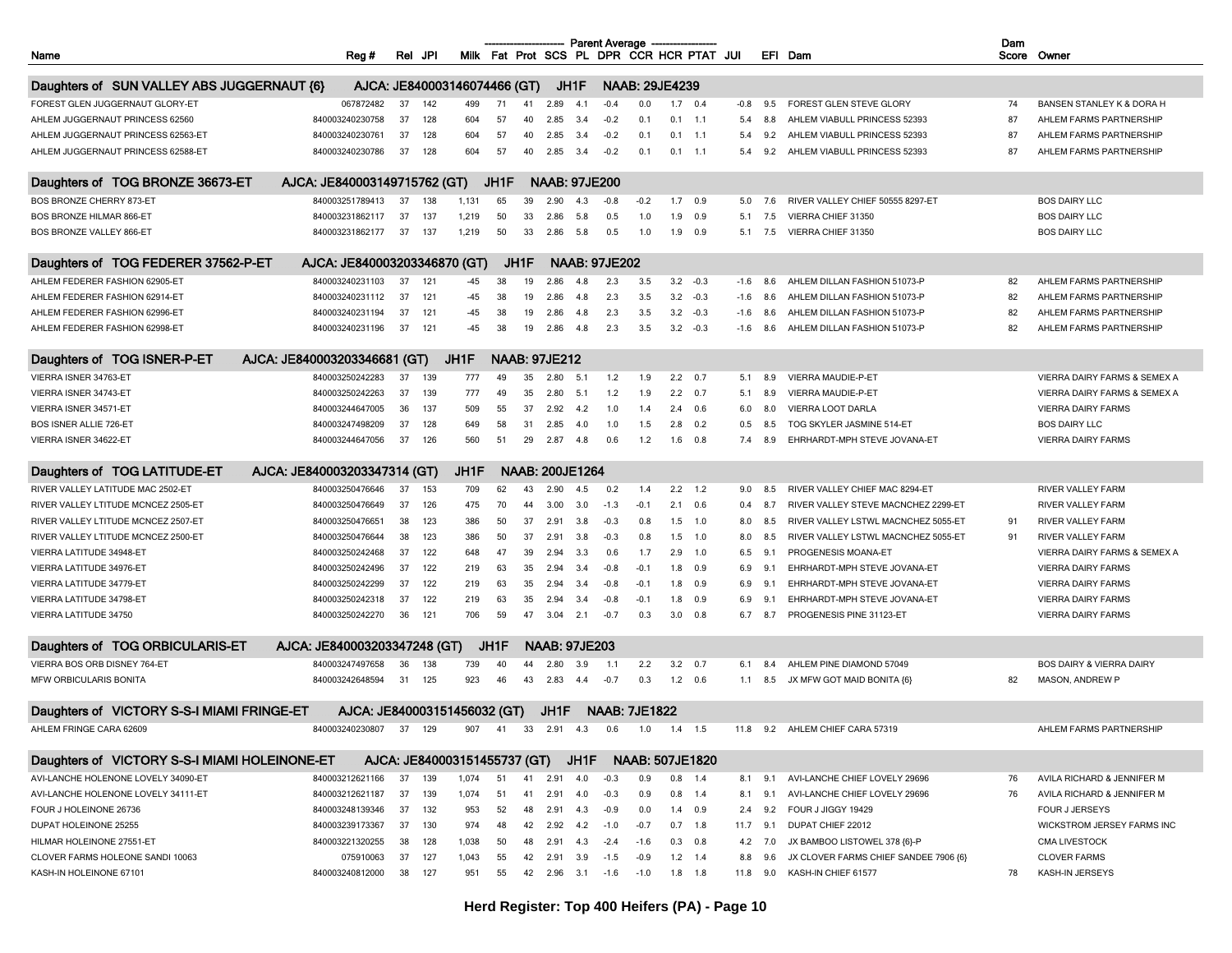|                                                                                      |                                    |                                           |              |          |          |                        |             | <b>Parent Average</b>              |                               |                |                        |                                           |            |                                                   | Dam |                                              |
|--------------------------------------------------------------------------------------|------------------------------------|-------------------------------------------|--------------|----------|----------|------------------------|-------------|------------------------------------|-------------------------------|----------------|------------------------|-------------------------------------------|------------|---------------------------------------------------|-----|----------------------------------------------|
| Name                                                                                 | Reg #                              | JPI<br>Rel                                |              |          |          |                        |             |                                    |                               |                |                        | Milk Fat Prot SCS PL DPR CCR HCR PTAT JUI |            | EFI Dam                                           |     | Score Owner                                  |
| Daughters of SUN VALLEY ABS JUGGERNAUT {6}                                           |                                    | AJCA: JE840003146074466 (GT)              |              |          |          | JH1F                   |             |                                    | <b>NAAB: 29JE4239</b>         |                |                        |                                           |            |                                                   |     |                                              |
| FOREST GLEN JUGGERNAUT GLORY-ET                                                      | 067872482                          | 37<br>142                                 | 499          | 71       | 41       | 2.89                   | 4.1         | $-0.4$                             | 0.0                           |                | $1.7$ 0.4              | $-0.8$                                    | 9.5        | FOREST GLEN STEVE GLORY                           | 74  | BANSEN STANLEY K & DORA H                    |
|                                                                                      | 840003240230758                    |                                           |              |          |          |                        |             |                                    |                               |                |                        |                                           |            |                                                   |     |                                              |
| AHLEM JUGGERNAUT PRINCESS 62560                                                      |                                    | 37<br>128                                 | 604          | 57       | 40       | 2.85                   | -3.4        | $-0.2$                             | 0.1                           |                | $0.1$ 1.1              | 5.4                                       | 8.8        | AHLEM VIABULL PRINCESS 52393                      | 87  | AHLEM FARMS PARTNERSHIP                      |
| AHLEM JUGGERNAUT PRINCESS 62563-ET                                                   | 840003240230761                    | 37<br>128                                 | 604          | 57       | 40       | 2.85                   | 3.4         | $-0.2$                             | 0.1                           |                | $0.1$ 1.1              | 5.4                                       | 9.2        | AHLEM VIABULL PRINCESS 52393                      | 87  | AHLEM FARMS PARTNERSHIP                      |
| AHLEM JUGGERNAUT PRINCESS 62588-ET                                                   | 840003240230786                    | 37<br>128                                 | 604          | 57       | 40       | 2.85                   | 3.4         | $-0.2$                             | 0.1                           |                | $0.1$ 1.1              | 5.4                                       | 9.2        | AHLEM VIABULL PRINCESS 52393                      | 87  | AHLEM FARMS PARTNERSHIP                      |
| Daughters of TOG BRONZE 36673-ET                                                     | AJCA: JE840003149715762 (GT)       |                                           |              | JH1F     |          | <b>NAAB: 97JE200</b>   |             |                                    |                               |                |                        |                                           |            |                                                   |     |                                              |
| BOS BRONZE CHERRY 873-ET                                                             | 840003251789413                    | 37<br>138                                 | 1,131        | 65       | 39       | 2.90                   | 4.3         | $-0.8$                             | $-0.2$                        | 1.7            | 0.9                    |                                           | 5.0<br>7.6 | RIVER VALLEY CHIEF 50555 8297-ET                  |     | <b>BOS DAIRY LLC</b>                         |
| BOS BRONZE HILMAR 866-ET                                                             | 840003231862117                    | 37<br>137                                 | 1,219        | 50       | 33       | 2.86                   | 5.8         | 0.5                                | 1.0                           | 1.9            | 0.9                    | 5.1                                       | 7.5        | VIERRA CHIEF 31350                                |     | <b>BOS DAIRY LLC</b>                         |
| BOS BRONZE VALLEY 866-ET                                                             | 840003231862177                    | 37<br>137                                 | 1,219        | 50       | 33       | 2.86                   | 5.8         | 0.5                                | 1.0                           | 1.9            | 0.9                    | 5.1                                       | 7.5        | VIERRA CHIEF 31350                                |     | <b>BOS DAIRY LLC</b>                         |
|                                                                                      |                                    |                                           |              |          |          |                        |             |                                    |                               |                |                        |                                           |            |                                                   |     |                                              |
| Daughters of TOG FEDERER 37562-P-ET                                                  | AJCA: JE840003203346870 (GT)       |                                           |              |          | JH1F     |                        |             | <b>NAAB: 97JE202</b>               |                               |                |                        |                                           |            |                                                   |     |                                              |
| AHLEM FEDERER FASHION 62905-ET                                                       | 840003240231103                    | 37<br>121                                 | -45          | 38       | 19       | 2.86                   | 4.8         | 2.3                                | 3.5                           | 3.2            | $-0.3$                 | $-1.6$                                    | 8.6        | AHLEM DILLAN FASHION 51073-P                      | 82  | AHLEM FARMS PARTNERSHIP                      |
| AHLEM FEDERER FASHION 62914-ET                                                       | 840003240231112                    | 37<br>121                                 | -45          | 38       | 19       | 2.86                   | 4.8         | 2.3                                | 3.5                           |                | $3.2 -0.3$             | -1.6                                      | 8.6        | AHLEM DILLAN FASHION 51073-P                      | 82  | AHLEM FARMS PARTNERSHIP                      |
| AHLEM FEDERER FASHION 62996-ET                                                       | 840003240231194                    | 37<br>121                                 | -45          | 38       | 19       | 2.86                   | 4.8         | 2.3                                | 3.5                           | 3.2            | $-0.3$                 | $-1.6$                                    | 8.6        | AHLEM DILLAN FASHION 51073-P                      | 82  | AHLEM FARMS PARTNERSHIP                      |
| AHLEM FEDERER FASHION 62998-ET                                                       | 840003240231196                    | 37<br>121                                 | -45          | 38       | 19       | 2.86                   | 4.8         | 2.3                                | 3.5                           | 3.2            | $-0.3$                 | $-1.6$                                    | 8.6        | AHLEM DILLAN FASHION 51073-P                      | 82  | AHLEM FARMS PARTNERSHIP                      |
| Daughters of TOG ISNER-P-ET                                                          | AJCA: JE840003203346681 (GT)       |                                           | JH1F         |          |          | <b>NAAB: 97JE212</b>   |             |                                    |                               |                |                        |                                           |            |                                                   |     |                                              |
| VIERRA ISNER 34763-ET                                                                | 840003250242283                    | 37<br>139                                 | 777          | 49       | 35       | 2.80                   | 5.1         | 1.2                                | 1.9                           |                | $2.2\quad 0.7$         | 5.1                                       | 8.9        | VIERRA MAUDIE-P-ET                                |     | <b>VIERRA DAIRY FARMS &amp; SEMEX A</b>      |
| VIERRA ISNER 34743-ET                                                                | 840003250242263                    | 37<br>139                                 | 777          | 49       | 35       | 2.80                   | 5.1         | 1.2                                | 1.9                           |                | $2.2\quad 0.7$         | 5.1                                       | 8.9        | VIERRA MAUDIE-P-ET                                |     | VIERRA DAIRY FARMS & SEMEX A                 |
| VIERRA ISNER 34571-ET                                                                | 840003244647005                    | 36<br>137                                 | 509          | 55       | 37       | 2.92                   | 4.2         | 1.0                                | 1.4                           | 2.4            | 0.6                    | 6.0                                       | 8.0        | VIERRA LOOT DARLA                                 |     | <b>VIERRA DAIRY FARMS</b>                    |
| <b>BOS ISNER ALLIE 726-ET</b>                                                        | 840003247498209                    | 37<br>128                                 | 649          | 58       | 31       | 2.85                   | 4.0         | 1.0                                | 1.5                           | 2.8            | 0.2                    | 0.5                                       | 8.5        | TOG SKYLER JASMINE 514-ET                         |     | <b>BOS DAIRY LLC</b>                         |
| VIERRA ISNER 34622-ET                                                                | 840003244647056                    | 37<br>126                                 | 560          | 51       | 29       | 2.87                   | 4.8         | 0.6                                | 1.2                           | 1.6            | 0.8                    | 7.4                                       | 8.9        | EHRHARDT-MPH STEVE JOVANA-ET                      |     | <b>VIERRA DAIRY FARMS</b>                    |
|                                                                                      |                                    |                                           |              |          |          |                        |             |                                    |                               |                |                        |                                           |            |                                                   |     |                                              |
| Daughters of TOG LATITUDE-ET                                                         | AJCA: JE840003203347314 (GT)       |                                           | JH1F         |          |          | <b>NAAB: 200JE1264</b> |             |                                    |                               |                |                        |                                           |            |                                                   |     |                                              |
| RIVER VALLEY LATITUDE MAC 2502-ET                                                    | 840003250476646                    | 37<br>153                                 | 709          | 62       | 43       | 2.90                   | 4.5         | 0.2                                | 1.4                           |                | $2.2$ 1.2              | 9.0                                       | 8.5        | RIVER VALLEY CHIEF MAC 8294-ET                    |     | RIVER VALLEY FARM                            |
| RIVER VALLEY LTITUDE MCNCEZ 2505-ET                                                  | 840003250476649                    | 37<br>126                                 | 475          | 70       | 44       | 3.00                   | 3.0         | $-1.3$                             | $-0.1$                        |                | $2.1\quad 0.6$         | 0.4                                       | 8.7        | RIVER VALLEY STEVE MACNCHEZ 2299-ET               |     | RIVER VALLEY FARM                            |
| RIVER VALLEY LTITUDE MCNCEZ 2507-ET                                                  | 840003250476651                    | 38<br>123                                 | 386          | 50       | 37       | 2.91                   | 3.8         | $-0.3$                             | 0.8                           |                | $1.5$ 1.0              | 8.0                                       | 8.5        | RIVER VALLEY LSTWL MACNCHEZ 5055-ET               | 91  | RIVER VALLEY FARM                            |
| RIVER VALLEY LTITUDE MCNCEZ 2500-ET                                                  | 840003250476644                    | 38<br>123                                 | 386          | 50       | 37       | 2.91                   | 3.8         | $-0.3$                             | 0.8                           |                | $1.5$ 1.0              | 8.0                                       | 8.5        | RIVER VALLEY LSTWL MACNCHEZ 5055-ET               | 91  | RIVER VALLEY FARM                            |
| VIERRA LATITUDE 34948-ET                                                             | 840003250242468                    | 37<br>122                                 | 648          | 47       | 39       | 2.94                   | 3.3         | 0.6                                | 1.7                           | 2.9            | 1.0                    | 6.5                                       | 9.1        | PROGENESIS MOANA-ET                               |     | VIERRA DAIRY FARMS & SEMEX A                 |
| VIERRA LATITUDE 34976-ET                                                             | 840003250242496                    | 37<br>122                                 | 219          | 63       | 35       | 2.94                   | 3.4         | $-0.8$                             | $-0.1$                        | 1.8            | 0.9                    | 6.9                                       | 9.1        | EHRHARDT-MPH STEVE JOVANA-ET                      |     | <b>VIERRA DAIRY FARMS</b>                    |
| VIERRA LATITUDE 34779-ET                                                             | 840003250242299                    | 37<br>122                                 | 219          | 63       | 35       | 2.94                   | 3.4         | $-0.8$                             | $-0.1$                        | 1.8            | 0.9                    | 6.9                                       | 9.1        | EHRHARDT-MPH STEVE JOVANA-ET                      |     | <b>VIERRA DAIRY FARMS</b>                    |
| VIERRA LATITUDE 34798-ET                                                             | 840003250242318                    | 37<br>122                                 | 219          | 63       | 35       | 2.94                   | 3.4         | $-0.8$                             | $-0.1$                        | 1.8            | 0.9                    | 6.9                                       | 9.1        | EHRHARDT-MPH STEVE JOVANA-ET                      |     | <b>VIERRA DAIRY FARMS</b>                    |
| VIERRA LATITUDE 34750                                                                | 840003250242270                    | 36<br>121                                 | 706          | 59       | 47       | 3.04                   | 2.1         | $-0.7$                             | 0.3                           |                | $3.0\quad 0.8$         | 6.7                                       | 8.7        | PROGENESIS PINE 31123-ET                          |     | <b>VIERRA DAIRY FARMS</b>                    |
|                                                                                      |                                    |                                           |              |          |          |                        |             |                                    |                               |                |                        |                                           |            |                                                   |     |                                              |
| Daughters of TOG ORBICULARIS-ET                                                      | AJCA: JE840003203347248 (GT)       |                                           |              | JH1F     |          | <b>NAAB: 97JE203</b>   |             |                                    |                               |                |                        |                                           |            |                                                   |     |                                              |
| VIERRA BOS ORB DISNEY 764-ET                                                         | 840003247497658                    | 36<br>138                                 | 739          | 40       | 44       | 2.80                   | 3.9         | 1.1                                | 2.2                           |                | $3.2\quad 0.7$         | 6.1                                       | 8.4        | AHLEM PINE DIAMOND 57049                          |     | <b>BOS DAIRY &amp; VIERRA DAIRY</b>          |
| <b>MFW ORBICULARIS BONITA</b>                                                        | 840003242648594                    | 31<br>125                                 | 923          | 46       | 43       | 2.83                   | -4.4        | $-0.7$                             | 0.3                           | $1.2\quad 0.6$ |                        |                                           | 1.1<br>8.5 | JX MFW GOT MAID BONITA {6}                        | 82  | <b>MASON, ANDREW P</b>                       |
| Daughters of VICTORY S-S-I MIAMI FRINGE-ET                                           | AJCA: JE840003151456032 (GT)       |                                           |              |          |          | JH1F                   |             | <b>NAAB: 7JE1822</b>               |                               |                |                        |                                           |            |                                                   |     |                                              |
| AHLEM FRINGE CARA 62609                                                              | 840003240230807 37 129             |                                           |              |          |          |                        |             | 907 41 33 2.91 4.3 0.6 1.0 1.4 1.5 |                               |                |                        |                                           |            | 11.8 9.2 AHLEM CHIEF CARA 57319                   |     | AHLEM FARMS PARTNERSHIP                      |
|                                                                                      |                                    |                                           |              |          |          |                        |             |                                    |                               |                |                        |                                           |            |                                                   |     |                                              |
| Daughters of VICTORY S-S-I MIAMI HOLEINONE-ET<br>AVI-LANCHE HOLENONE LOVELY 34090-ET | 840003212621166                    | AJCA: JE840003151455737 (GT)<br>37<br>139 | 1,074        | 51       | 41       | 2.91                   | JH1F<br>4.0 | $-0.3$                             | <b>NAAB: 507JE1820</b><br>0.9 |                | $0.8$ 1.4              | 8.1                                       | 9.1        | AVI-LANCHE CHIEF LOVELY 29696                     | 76  | AVILA RICHARD & JENNIFER M                   |
| AVI-LANCHE HOLENONE LOVELY 34111-ET                                                  | 840003212621187                    | 37<br>139                                 | 1,074        | 51       | 41       | 2.91                   | 4.0         | $-0.3$                             | 0.9                           |                | $0.8$ 1.4              | 8.1                                       | 9.1        | AVI-LANCHE CHIEF LOVELY 29696                     | 76  | AVILA RICHARD & JENNIFER M                   |
|                                                                                      | 840003248139346                    | 37<br>132                                 |              | 52       |          |                        |             |                                    |                               |                |                        |                                           |            |                                                   |     |                                              |
| FOUR J HOLEINONE 26736                                                               |                                    |                                           | 953          |          | 48       | 2.91                   | 4.3         | $-0.9$                             | 0.0                           |                | $1.4$ 0.9              | 2.4                                       | 9.2        | FOUR J JIGGY 19429                                |     | FOUR J JERSEYS<br>WICKSTROM JERSEY FARMS INC |
| DUPAT HOLEINONE 25255<br>HILMAR HOLEINONE 27551-ET                                   | 840003239173367<br>840003221320255 | 37<br>130<br>38<br>128                    | 974<br>1,038 | 48<br>50 | 42<br>48 | 2.92<br>2.91           | 4.2<br>4.3  | $-1.0$                             | $-0.7$<br>$-1.6$              |                | $0.7$ 1.8<br>$0.3$ 0.8 | 11.7<br>4.2                               | 9.1<br>7.0 | DUPAT CHIEF 22012<br>JX BAMBOO LISTOWEL 378 {6}-P |     | <b>CMA LIVESTOCK</b>                         |
|                                                                                      |                                    |                                           |              |          |          |                        |             | $-2.4$                             |                               |                |                        |                                           |            |                                                   |     | <b>CLOVER FARMS</b>                          |
| CLOVER FARMS HOLEONE SANDI 10063                                                     | 075910063                          | 37<br>127<br>127                          | 1,043<br>951 | 55<br>55 | 42       | 2.91                   | 3.9         | $-1.5$                             | $-0.9$<br>$-1.0$              | $1.8$ 1.8      | $1.2$ 1.4              | 8.8                                       | 9.6<br>9.0 | JX CLOVER FARMS CHIEF SANDEE 7906 {6}             | 78  | KASH-IN JERSEYS                              |
| KASH-IN HOLEINONE 67101                                                              | 840003240812000                    | 38                                        |              |          |          | 42  2.96  3.1          |             | $-1.6$                             |                               |                |                        | 11.8                                      |            | KASH-IN CHIEF 61577                               |     |                                              |

**Herd Register: Top 400 Heifers (PA) - Page 10**